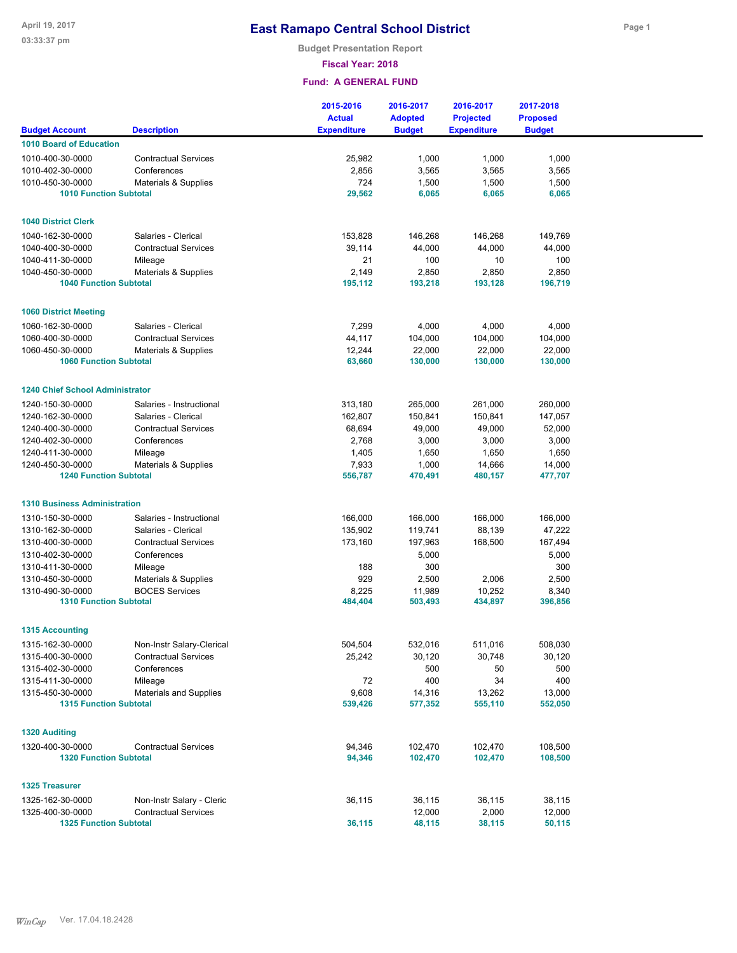**Budget Presentation Report**

**Fiscal Year: 2018**

|                                        |                                 | 2015-2016<br><b>Actual</b> | 2016-2017<br><b>Adopted</b> | 2016-2017<br><b>Projected</b> | 2017-2018<br><b>Proposed</b> |  |
|----------------------------------------|---------------------------------|----------------------------|-----------------------------|-------------------------------|------------------------------|--|
| <b>Budget Account</b>                  | <b>Description</b>              | <b>Expenditure</b>         | <b>Budget</b>               | <b>Expenditure</b>            | <b>Budget</b>                |  |
| <b>1010 Board of Education</b>         |                                 |                            |                             |                               |                              |  |
| 1010-400-30-0000                       | <b>Contractual Services</b>     | 25,982                     | 1,000                       | 1,000                         | 1,000                        |  |
| 1010-402-30-0000                       | Conferences                     | 2,856                      | 3,565                       | 3,565                         | 3,565                        |  |
| 1010-450-30-0000                       | Materials & Supplies            | 724                        | 1,500                       | 1,500                         | 1,500                        |  |
| <b>1010 Function Subtotal</b>          |                                 | 29,562                     | 6,065                       | 6,065                         | 6,065                        |  |
|                                        |                                 |                            |                             |                               |                              |  |
| <b>1040 District Clerk</b>             |                                 |                            |                             |                               |                              |  |
| 1040-162-30-0000                       | Salaries - Clerical             | 153,828                    | 146,268                     | 146,268                       | 149,769                      |  |
| 1040-400-30-0000<br>1040-411-30-0000   | <b>Contractual Services</b>     | 39,114<br>21               | 44,000<br>100               | 44,000<br>10                  | 44,000<br>100                |  |
| 1040-450-30-0000                       | Mileage<br>Materials & Supplies | 2,149                      | 2,850                       | 2,850                         | 2,850                        |  |
| <b>1040 Function Subtotal</b>          |                                 | 195,112                    | 193,218                     | 193,128                       | 196,719                      |  |
|                                        |                                 |                            |                             |                               |                              |  |
| <b>1060 District Meeting</b>           |                                 |                            |                             |                               |                              |  |
| 1060-162-30-0000                       | Salaries - Clerical             | 7,299                      | 4,000                       | 4,000                         | 4,000                        |  |
| 1060-400-30-0000                       | <b>Contractual Services</b>     | 44,117                     | 104,000                     | 104,000                       | 104,000                      |  |
| 1060-450-30-0000                       | Materials & Supplies            | 12,244                     | 22,000                      | 22,000                        | 22,000                       |  |
| <b>1060 Function Subtotal</b>          |                                 | 63,660                     | 130,000                     | 130,000                       | 130,000                      |  |
| <b>1240 Chief School Administrator</b> |                                 |                            |                             |                               |                              |  |
| 1240-150-30-0000                       | Salaries - Instructional        | 313,180                    | 265,000                     | 261,000                       | 260,000                      |  |
| 1240-162-30-0000                       | Salaries - Clerical             | 162,807                    | 150,841                     | 150,841                       | 147,057                      |  |
| 1240-400-30-0000                       | <b>Contractual Services</b>     | 68,694                     | 49,000                      | 49,000                        | 52,000                       |  |
| 1240-402-30-0000                       | Conferences                     | 2,768                      | 3,000                       | 3,000                         | 3,000                        |  |
| 1240-411-30-0000                       | Mileage                         | 1,405                      | 1,650                       | 1,650                         | 1,650                        |  |
| 1240-450-30-0000                       | Materials & Supplies            | 7,933                      | 1,000                       | 14,666                        | 14,000                       |  |
| <b>1240 Function Subtotal</b>          |                                 | 556,787                    | 470,491                     | 480,157                       | 477,707                      |  |
| <b>1310 Business Administration</b>    |                                 |                            |                             |                               |                              |  |
| 1310-150-30-0000                       | Salaries - Instructional        | 166,000                    | 166,000                     | 166,000                       | 166,000                      |  |
| 1310-162-30-0000                       | Salaries - Clerical             | 135,902                    | 119,741                     | 88,139                        | 47,222                       |  |
| 1310-400-30-0000                       | <b>Contractual Services</b>     | 173,160                    | 197,963                     | 168,500                       | 167,494                      |  |
| 1310-402-30-0000                       | Conferences                     |                            | 5,000                       |                               | 5,000                        |  |
| 1310-411-30-0000                       | Mileage                         | 188                        | 300                         |                               | 300                          |  |
| 1310-450-30-0000                       | Materials & Supplies            | 929                        | 2,500                       | 2,006                         | 2,500                        |  |
| 1310-490-30-0000                       | <b>BOCES Services</b>           | 8,225                      | 11,989                      | 10,252                        | 8,340                        |  |
| <b>1310 Function Subtotal</b>          |                                 | 484,404                    | 503,493                     | 434,897                       | 396,856                      |  |
| <b>1315 Accounting</b>                 |                                 |                            |                             |                               |                              |  |
| 1315-162-30-0000                       | Non-Instr Salary-Clerical       | 504,504                    | 532,016                     | 511,016                       | 508,030                      |  |
| 1315-400-30-0000                       | <b>Contractual Services</b>     | 25,242                     | 30,120                      | 30,748                        | 30,120                       |  |
| 1315-402-30-0000                       | Conferences                     |                            | 500                         | 50                            | 500                          |  |
| 1315-411-30-0000                       | Mileage                         | 72                         | 400                         | 34                            | 400                          |  |
| 1315-450-30-0000                       | Materials and Supplies          | 9,608                      | 14,316                      | 13,262                        | 13,000                       |  |
| <b>1315 Function Subtotal</b>          |                                 | 539,426                    | 577,352                     | 555,110                       | 552,050                      |  |
| <b>1320 Auditing</b>                   |                                 |                            |                             |                               |                              |  |
| 1320-400-30-0000                       | <b>Contractual Services</b>     | 94,346                     | 102,470                     | 102,470                       | 108,500                      |  |
| <b>1320 Function Subtotal</b>          |                                 | 94,346                     | 102,470                     | 102,470                       | 108,500                      |  |
| <b>1325 Treasurer</b>                  |                                 |                            |                             |                               |                              |  |
| 1325-162-30-0000                       | Non-Instr Salary - Cleric       | 36,115                     | 36,115                      | 36,115                        | 38,115                       |  |
| 1325-400-30-0000                       | <b>Contractual Services</b>     |                            | 12,000                      | 2,000                         | 12,000                       |  |
| <b>1325 Function Subtotal</b>          |                                 | 36,115                     | 48,115                      | 38,115                        | 50,115                       |  |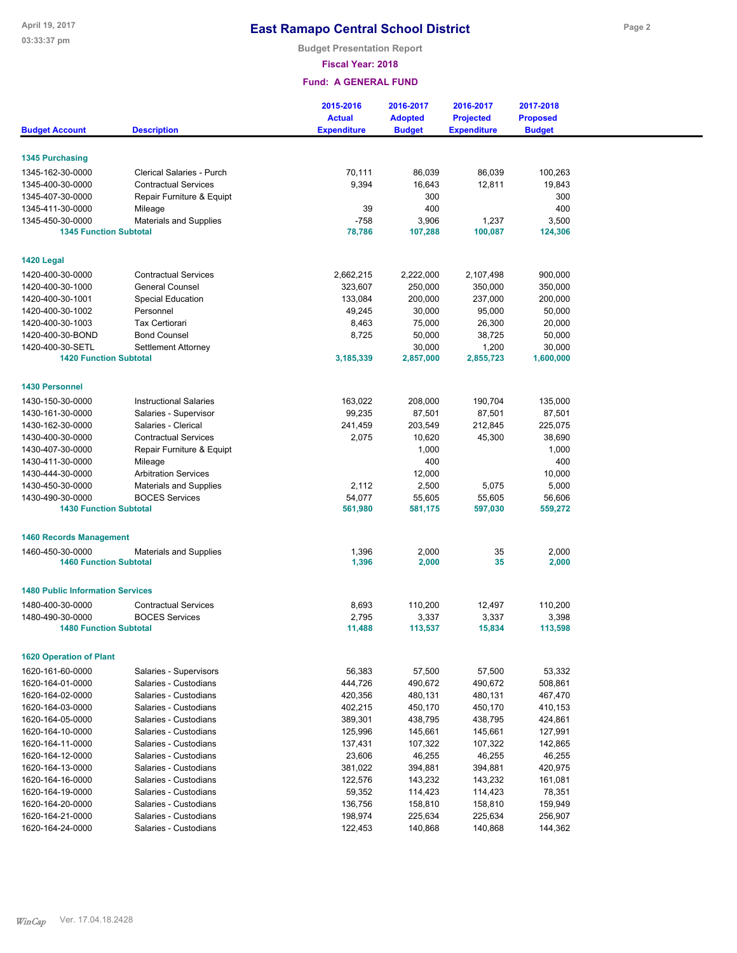**Budget Presentation Report**

**Fiscal Year: 2018**

|                                         |                               | 2015-2016<br><b>Actual</b> | 2016-2017<br><b>Adopted</b> | 2016-2017<br><b>Projected</b> | 2017-2018<br><b>Proposed</b> |  |
|-----------------------------------------|-------------------------------|----------------------------|-----------------------------|-------------------------------|------------------------------|--|
| <b>Budget Account</b>                   | <b>Description</b>            | <b>Expenditure</b>         | <b>Budget</b>               | <b>Expenditure</b>            | <b>Budget</b>                |  |
|                                         |                               |                            |                             |                               |                              |  |
| <b>1345 Purchasing</b>                  |                               |                            |                             |                               |                              |  |
| 1345-162-30-0000                        | Clerical Salaries - Purch     | 70,111                     | 86,039                      | 86,039                        | 100,263                      |  |
| 1345-400-30-0000                        | <b>Contractual Services</b>   | 9,394                      | 16,643                      | 12,811                        | 19,843                       |  |
| 1345-407-30-0000                        | Repair Furniture & Equipt     |                            | 300                         |                               | 300                          |  |
| 1345-411-30-0000                        | Mileage                       | 39                         | 400                         |                               | 400                          |  |
| 1345-450-30-0000                        | <b>Materials and Supplies</b> | $-758$                     | 3,906                       | 1,237                         | 3,500                        |  |
| <b>1345 Function Subtotal</b>           |                               | 78,786                     | 107,288                     | 100,087                       | 124,306                      |  |
|                                         |                               |                            |                             |                               |                              |  |
| 1420 Legal                              |                               |                            |                             |                               |                              |  |
| 1420-400-30-0000                        | <b>Contractual Services</b>   | 2,662,215                  | 2,222,000                   | 2,107,498                     | 900,000                      |  |
| 1420-400-30-1000                        | <b>General Counsel</b>        | 323,607                    | 250,000                     | 350,000                       | 350,000                      |  |
| 1420-400-30-1001                        | <b>Special Education</b>      | 133,084                    | 200,000                     | 237,000                       | 200,000                      |  |
| 1420-400-30-1002                        | Personnel                     | 49,245                     | 30,000                      | 95,000                        | 50,000                       |  |
| 1420-400-30-1003                        | Tax Certiorari                | 8,463                      | 75,000                      | 26,300                        | 20,000                       |  |
| 1420-400-30-BOND                        | <b>Bond Counsel</b>           | 8,725                      | 50,000                      | 38,725                        | 50,000                       |  |
| 1420-400-30-SETL                        | Settlement Attorney           |                            | 30,000                      | 1,200                         | 30,000                       |  |
| <b>1420 Function Subtotal</b>           |                               | 3,185,339                  | 2,857,000                   | 2,855,723                     | 1,600,000                    |  |
|                                         |                               |                            |                             |                               |                              |  |
| <b>1430 Personnel</b>                   |                               |                            |                             |                               |                              |  |
| 1430-150-30-0000                        | <b>Instructional Salaries</b> | 163,022                    | 208,000                     | 190,704                       | 135.000                      |  |
| 1430-161-30-0000                        | Salaries - Supervisor         | 99,235                     | 87,501                      | 87,501                        | 87,501                       |  |
| 1430-162-30-0000                        | Salaries - Clerical           | 241,459                    | 203,549                     | 212,845                       | 225,075                      |  |
| 1430-400-30-0000                        | <b>Contractual Services</b>   | 2,075                      | 10,620                      | 45,300                        | 38,690                       |  |
| 1430-407-30-0000                        | Repair Furniture & Equipt     |                            | 1,000                       |                               | 1,000                        |  |
| 1430-411-30-0000                        | Mileage                       |                            | 400                         |                               | 400                          |  |
| 1430-444-30-0000                        | <b>Arbitration Services</b>   |                            | 12,000                      |                               | 10,000                       |  |
| 1430-450-30-0000                        | <b>Materials and Supplies</b> | 2,112                      | 2,500                       | 5,075                         | 5,000                        |  |
| 1430-490-30-0000                        | <b>BOCES Services</b>         | 54,077                     | 55,605                      | 55,605                        | 56,606                       |  |
| <b>1430 Function Subtotal</b>           |                               | 561,980                    | 581,175                     | 597,030                       | 559,272                      |  |
|                                         |                               |                            |                             |                               |                              |  |
| <b>1460 Records Management</b>          |                               |                            |                             |                               |                              |  |
| 1460-450-30-0000                        | <b>Materials and Supplies</b> | 1,396                      | 2,000                       | 35                            | 2,000                        |  |
| <b>1460 Function Subtotal</b>           |                               | 1,396                      | 2,000                       | 35                            | 2,000                        |  |
|                                         |                               |                            |                             |                               |                              |  |
| <b>1480 Public Information Services</b> |                               |                            |                             |                               |                              |  |
| 1480-400-30-0000                        | <b>Contractual Services</b>   | 8,693                      | 110,200                     | 12,497                        | 110,200                      |  |
| 1480-490-30-0000                        | <b>BOCES Services</b>         | 2,795                      | 3,337                       | 3,337                         | 3,398                        |  |
| <b>1480 Function Subtotal</b>           |                               | 11,488                     | 113,537                     | 15,834                        | 113,598                      |  |
| <b>1620 Operation of Plant</b>          |                               |                            |                             |                               |                              |  |
| 1620-161-60-0000                        | Salaries - Supervisors        | 56,383                     | 57,500                      | 57,500                        | 53,332                       |  |
| 1620-164-01-0000                        | Salaries - Custodians         | 444,726                    | 490,672                     | 490,672                       | 508,861                      |  |
| 1620-164-02-0000                        | Salaries - Custodians         | 420,356                    | 480,131                     | 480,131                       | 467,470                      |  |
| 1620-164-03-0000                        | Salaries - Custodians         | 402,215                    | 450,170                     | 450,170                       | 410,153                      |  |
| 1620-164-05-0000                        | Salaries - Custodians         | 389,301                    | 438,795                     | 438,795                       | 424,861                      |  |
| 1620-164-10-0000                        | Salaries - Custodians         | 125,996                    | 145,661                     | 145,661                       | 127,991                      |  |
|                                         |                               |                            |                             |                               |                              |  |
| 1620-164-11-0000                        | Salaries - Custodians         | 137,431                    | 107,322                     | 107,322                       | 142,865                      |  |
| 1620-164-12-0000                        | Salaries - Custodians         | 23,606                     | 46,255                      | 46,255                        | 46,255                       |  |
| 1620-164-13-0000                        | Salaries - Custodians         | 381,022                    | 394,881                     | 394,881                       | 420,975                      |  |
| 1620-164-16-0000                        | Salaries - Custodians         | 122,576                    | 143,232                     | 143,232                       | 161,081                      |  |
| 1620-164-19-0000                        | Salaries - Custodians         | 59,352                     | 114,423                     | 114,423                       | 78,351                       |  |
| 1620-164-20-0000                        | Salaries - Custodians         | 136,756                    | 158,810                     | 158,810                       | 159,949                      |  |
| 1620-164-21-0000                        | Salaries - Custodians         | 198,974                    | 225,634                     | 225,634                       | 256,907                      |  |
| 1620-164-24-0000                        | Salaries - Custodians         | 122,453                    | 140,868                     | 140,868                       | 144,362                      |  |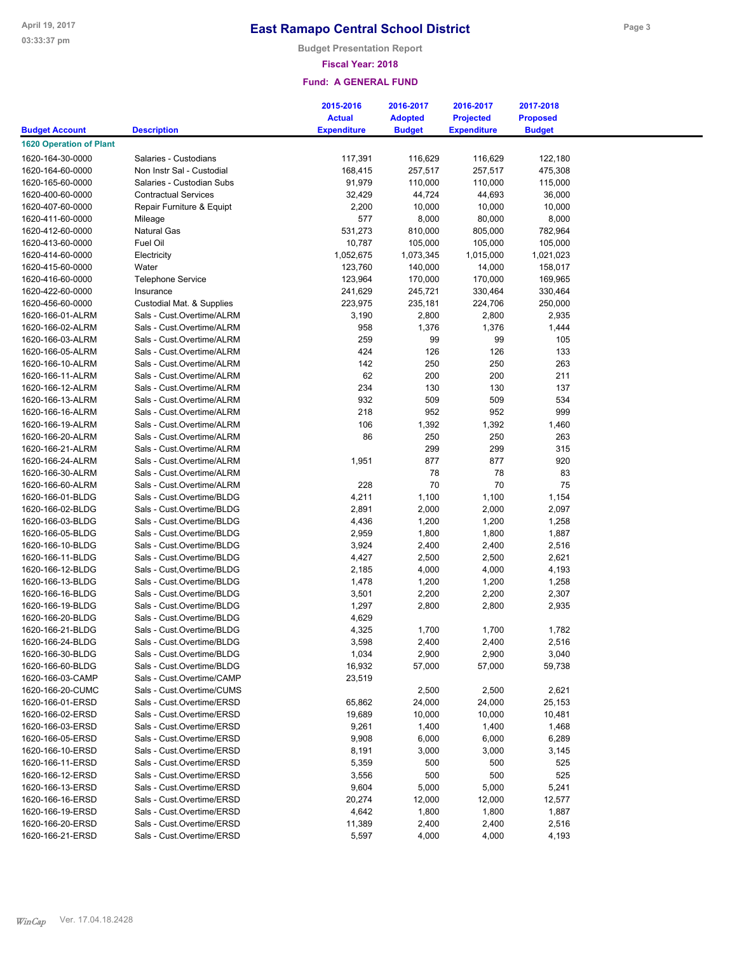**Budget Presentation Report**

## **Fiscal Year: 2018**

|                                |                             | 2015-2016          | 2016-2017      | 2016-2017          | 2017-2018       |
|--------------------------------|-----------------------------|--------------------|----------------|--------------------|-----------------|
|                                |                             | <b>Actual</b>      | <b>Adopted</b> | <b>Projected</b>   | <b>Proposed</b> |
| <b>Budget Account</b>          | <b>Description</b>          | <b>Expenditure</b> | <b>Budget</b>  | <b>Expenditure</b> | <b>Budget</b>   |
| <b>1620 Operation of Plant</b> |                             |                    |                |                    |                 |
| 1620-164-30-0000               | Salaries - Custodians       | 117,391            | 116,629        | 116,629            | 122,180         |
| 1620-164-60-0000               | Non Instr Sal - Custodial   | 168,415            | 257,517        | 257,517            | 475,308         |
| 1620-165-60-0000               | Salaries - Custodian Subs   | 91,979             | 110,000        | 110,000            | 115,000         |
| 1620-400-60-0000               | <b>Contractual Services</b> | 32,429             | 44,724         | 44,693             | 36,000          |
| 1620-407-60-0000               | Repair Furniture & Equipt   | 2,200              | 10,000         | 10,000             | 10,000          |
| 1620-411-60-0000               | Mileage                     | 577                | 8,000          | 80,000             | 8,000           |
| 1620-412-60-0000               | <b>Natural Gas</b>          | 531,273            | 810,000        | 805,000            | 782,964         |
| 1620-413-60-0000               | Fuel Oil                    | 10,787             | 105,000        | 105,000            | 105,000         |
| 1620-414-60-0000               | Electricity                 | 1,052,675          | 1,073,345      | 1,015,000          | 1,021,023       |
| 1620-415-60-0000               | Water                       | 123,760            | 140,000        | 14,000             | 158,017         |
|                                |                             | 123,964            | 170,000        | 170,000            | 169,965         |
| 1620-416-60-0000               | <b>Telephone Service</b>    |                    |                |                    |                 |
| 1620-422-60-0000               | Insurance                   | 241,629            | 245,721        | 330,464            | 330,464         |
| 1620-456-60-0000               | Custodial Mat. & Supplies   | 223,975            | 235,181        | 224,706            | 250,000         |
| 1620-166-01-ALRM               | Sals - Cust.Overtime/ALRM   | 3,190              | 2,800          | 2,800              | 2,935           |
| 1620-166-02-ALRM               | Sals - Cust.Overtime/ALRM   | 958                | 1,376          | 1,376              | 1,444           |
| 1620-166-03-ALRM               | Sals - Cust.Overtime/ALRM   | 259                | 99             | 99                 | 105             |
| 1620-166-05-ALRM               | Sals - Cust.Overtime/ALRM   | 424                | 126            | 126                | 133             |
| 1620-166-10-ALRM               | Sals - Cust.Overtime/ALRM   | 142                | 250            | 250                | 263             |
| 1620-166-11-ALRM               | Sals - Cust.Overtime/ALRM   | 62                 | 200            | 200                | 211             |
| 1620-166-12-ALRM               | Sals - Cust.Overtime/ALRM   | 234                | 130            | 130                | 137             |
| 1620-166-13-ALRM               | Sals - Cust.Overtime/ALRM   | 932                | 509            | 509                | 534             |
| 1620-166-16-ALRM               | Sals - Cust.Overtime/ALRM   | 218                | 952            | 952                | 999             |
| 1620-166-19-ALRM               | Sals - Cust.Overtime/ALRM   | 106                | 1,392          | 1,392              | 1,460           |
| 1620-166-20-ALRM               | Sals - Cust.Overtime/ALRM   | 86                 | 250            | 250                | 263             |
| 1620-166-21-ALRM               | Sals - Cust.Overtime/ALRM   |                    | 299            | 299                | 315             |
| 1620-166-24-ALRM               | Sals - Cust.Overtime/ALRM   | 1,951              | 877            | 877                | 920             |
| 1620-166-30-ALRM               | Sals - Cust.Overtime/ALRM   |                    | 78             | 78                 | 83              |
| 1620-166-60-ALRM               | Sals - Cust.Overtime/ALRM   | 228                | 70             | 70                 | 75              |
| 1620-166-01-BLDG               | Sals - Cust.Overtime/BLDG   | 4,211              | 1,100          | 1,100              | 1,154           |
| 1620-166-02-BLDG               | Sals - Cust.Overtime/BLDG   | 2,891              | 2,000          | 2,000              | 2,097           |
| 1620-166-03-BLDG               | Sals - Cust.Overtime/BLDG   | 4,436              | 1,200          | 1,200              | 1,258           |
| 1620-166-05-BLDG               | Sals - Cust.Overtime/BLDG   | 2,959              | 1,800          | 1,800              | 1,887           |
| 1620-166-10-BLDG               | Sals - Cust.Overtime/BLDG   | 3,924              | 2,400          | 2,400              | 2,516           |
| 1620-166-11-BLDG               | Sals - Cust.Overtime/BLDG   | 4,427              | 2,500          | 2,500              | 2,621           |
| 1620-166-12-BLDG               | Sals - Cust, Overtime/BLDG  | 2,185              | 4,000          | 4,000              | 4,193           |
| 1620-166-13-BLDG               | Sals - Cust.Overtime/BLDG   | 1,478              | 1,200          | 1,200              | 1,258           |
| 1620-166-16-BLDG               | Sals - Cust.Overtime/BLDG   | 3,501              | 2,200          | 2,200              | 2,307           |
| 1620-166-19-BLDG               | Sals - Cust.Overtime/BLDG   | 1,297              | 2,800          | 2,800              | 2,935           |
| 1620-166-20-BLDG               | Sals - Cust.Overtime/BLDG   | 4,629              |                |                    |                 |
| 1620-166-21-BLDG               | Sals - Cust.Overtime/BLDG   | 4,325              | 1,700          | 1,700              | 1,782           |
| 1620-166-24-BLDG               | Sals - Cust.Overtime/BLDG   | 3,598              | 2,400          | 2,400              | 2,516           |
| 1620-166-30-BLDG               | Sals - Cust.Overtime/BLDG   | 1,034              | 2,900          | 2,900              | 3,040           |
| 1620-166-60-BLDG               | Sals - Cust.Overtime/BLDG   | 16,932             | 57,000         | 57,000             | 59,738          |
| 1620-166-03-CAMP               | Sals - Cust.Overtime/CAMP   | 23,519             |                |                    |                 |
| 1620-166-20-CUMC               | Sals - Cust.Overtime/CUMS   |                    | 2,500          | 2,500              | 2,621           |
| 1620-166-01-ERSD               | Sals - Cust.Overtime/ERSD   | 65,862             | 24,000         | 24,000             | 25,153          |
| 1620-166-02-ERSD               | Sals - Cust.Overtime/ERSD   | 19,689             | 10,000         | 10,000             | 10,481          |
| 1620-166-03-ERSD               | Sals - Cust.Overtime/ERSD   | 9,261              | 1,400          | 1,400              | 1,468           |
| 1620-166-05-ERSD               | Sals - Cust.Overtime/ERSD   | 9,908              | 6,000          | 6,000              | 6,289           |
| 1620-166-10-ERSD               | Sals - Cust.Overtime/ERSD   | 8,191              | 3,000          | 3,000              | 3,145           |
| 1620-166-11-ERSD               | Sals - Cust.Overtime/ERSD   | 5,359              | 500            | 500                | 525             |
| 1620-166-12-ERSD               | Sals - Cust.Overtime/ERSD   |                    | 500            | 500                | 525             |
|                                | Sals - Cust.Overtime/ERSD   | 3,556              |                |                    |                 |
| 1620-166-13-ERSD               |                             | 9,604              | 5,000          | 5,000              | 5,241           |
| 1620-166-16-ERSD               | Sals - Cust.Overtime/ERSD   | 20,274             | 12,000         | 12,000             | 12,577          |
| 1620-166-19-ERSD               | Sals - Cust.Overtime/ERSD   | 4,642              | 1,800          | 1,800              | 1,887           |
| 1620-166-20-ERSD               | Sals - Cust.Overtime/ERSD   | 11,389             | 2,400          | 2,400              | 2,516           |
| 1620-166-21-ERSD               | Sals - Cust.Overtime/ERSD   | 5,597              | 4,000          | 4,000              | 4,193           |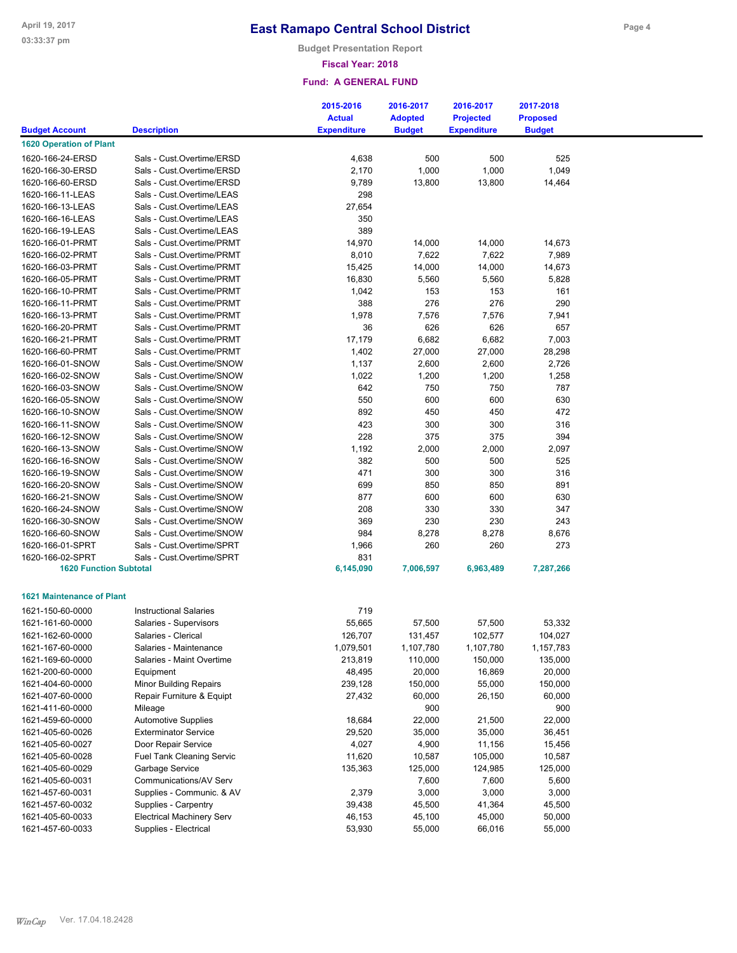**Budget Presentation Report**

### **Fiscal Year: 2018**

|                                  |                                  | 2015-2016<br><b>Actual</b> | 2016-2017<br><b>Adopted</b> | 2016-2017<br><b>Projected</b> | 2017-2018<br><b>Proposed</b> |  |
|----------------------------------|----------------------------------|----------------------------|-----------------------------|-------------------------------|------------------------------|--|
| <b>Budget Account</b>            | <b>Description</b>               | <b>Expenditure</b>         | <b>Budget</b>               | <b>Expenditure</b>            | <b>Budget</b>                |  |
| <b>1620 Operation of Plant</b>   |                                  |                            |                             |                               |                              |  |
| 1620-166-24-ERSD                 | Sals - Cust.Overtime/ERSD        |                            | 500                         | 500                           | 525                          |  |
|                                  | Sals - Cust.Overtime/ERSD        | 4,638                      |                             |                               |                              |  |
| 1620-166-30-ERSD                 |                                  | 2,170                      | 1,000                       | 1,000                         | 1,049                        |  |
| 1620-166-60-ERSD                 | Sals - Cust.Overtime/ERSD        | 9,789                      | 13,800                      | 13,800                        | 14,464                       |  |
| 1620-166-11-LEAS                 | Sals - Cust.Overtime/LEAS        | 298                        |                             |                               |                              |  |
| 1620-166-13-LEAS                 | Sals - Cust.Overtime/LEAS        | 27,654                     |                             |                               |                              |  |
| 1620-166-16-LEAS                 | Sals - Cust.Overtime/LEAS        | 350                        |                             |                               |                              |  |
| 1620-166-19-LEAS                 | Sals - Cust.Overtime/LEAS        | 389                        |                             |                               |                              |  |
| 1620-166-01-PRMT                 | Sals - Cust.Overtime/PRMT        | 14,970                     | 14,000                      | 14,000                        | 14,673                       |  |
| 1620-166-02-PRMT                 | Sals - Cust.Overtime/PRMT        | 8,010                      | 7,622                       | 7,622                         | 7,989                        |  |
| 1620-166-03-PRMT                 | Sals - Cust.Overtime/PRMT        | 15,425                     | 14,000                      | 14,000                        | 14,673                       |  |
| 1620-166-05-PRMT                 | Sals - Cust.Overtime/PRMT        | 16,830                     | 5,560                       | 5,560                         | 5,828                        |  |
| 1620-166-10-PRMT                 | Sals - Cust.Overtime/PRMT        | 1,042                      | 153                         | 153                           | 161                          |  |
| 1620-166-11-PRMT                 | Sals - Cust.Overtime/PRMT        | 388                        | 276                         | 276                           | 290                          |  |
| 1620-166-13-PRMT                 | Sals - Cust.Overtime/PRMT        | 1,978                      | 7,576                       | 7,576                         | 7,941                        |  |
| 1620-166-20-PRMT                 | Sals - Cust.Overtime/PRMT        | 36                         | 626                         | 626                           | 657                          |  |
| 1620-166-21-PRMT                 | Sals - Cust.Overtime/PRMT        | 17,179                     | 6,682                       | 6,682                         | 7,003                        |  |
| 1620-166-60-PRMT                 | Sals - Cust.Overtime/PRMT        | 1,402                      | 27,000                      | 27,000                        | 28,298                       |  |
| 1620-166-01-SNOW                 | Sals - Cust.Overtime/SNOW        | 1,137                      | 2,600                       | 2,600                         | 2,726                        |  |
| 1620-166-02-SNOW                 | Sals - Cust.Overtime/SNOW        | 1,022                      | 1,200                       | 1,200                         | 1,258                        |  |
| 1620-166-03-SNOW                 | Sals - Cust.Overtime/SNOW        | 642                        | 750                         | 750                           | 787                          |  |
| 1620-166-05-SNOW                 | Sals - Cust.Overtime/SNOW        | 550                        | 600                         | 600                           | 630                          |  |
| 1620-166-10-SNOW                 | Sals - Cust.Overtime/SNOW        | 892                        | 450                         | 450                           | 472                          |  |
| 1620-166-11-SNOW                 | Sals - Cust.Overtime/SNOW        | 423                        | 300                         | 300                           | 316                          |  |
| 1620-166-12-SNOW                 | Sals - Cust.Overtime/SNOW        | 228                        | 375                         | 375                           | 394                          |  |
| 1620-166-13-SNOW                 | Sals - Cust.Overtime/SNOW        | 1,192                      | 2,000                       | 2,000                         | 2,097                        |  |
| 1620-166-16-SNOW                 | Sals - Cust.Overtime/SNOW        | 382                        | 500                         | 500                           | 525                          |  |
| 1620-166-19-SNOW                 | Sals - Cust.Overtime/SNOW        | 471                        | 300                         | 300                           | 316                          |  |
| 1620-166-20-SNOW                 | Sals - Cust.Overtime/SNOW        | 699                        | 850                         | 850                           | 891                          |  |
| 1620-166-21-SNOW                 | Sals - Cust.Overtime/SNOW        | 877                        | 600                         | 600                           | 630                          |  |
| 1620-166-24-SNOW                 | Sals - Cust.Overtime/SNOW        | 208                        | 330                         | 330                           | 347                          |  |
|                                  |                                  |                            |                             |                               |                              |  |
| 1620-166-30-SNOW                 | Sals - Cust.Overtime/SNOW        | 369                        | 230                         | 230                           | 243                          |  |
| 1620-166-60-SNOW                 | Sals - Cust.Overtime/SNOW        | 984                        | 8,278                       | 8,278                         | 8,676                        |  |
| 1620-166-01-SPRT                 | Sals - Cust.Overtime/SPRT        | 1,966                      | 260                         | 260                           | 273                          |  |
| 1620-166-02-SPRT                 | Sals - Cust.Overtime/SPRT        | 831                        |                             |                               |                              |  |
| <b>1620 Function Subtotal</b>    |                                  | 6,145,090                  | 7,006,597                   | 6,963,489                     | 7,287,266                    |  |
|                                  |                                  |                            |                             |                               |                              |  |
| <b>1621 Maintenance of Plant</b> |                                  |                            |                             |                               |                              |  |
| 1621-150-60-0000                 | <b>Instructional Salaries</b>    | 719                        |                             |                               |                              |  |
| 1621-161-60-0000                 | Salaries - Supervisors           | 55,665                     | 57,500                      | 57,500                        | 53,332                       |  |
| 1621-162-60-0000                 | Salaries - Clerical              | 126,707                    | 131,457                     | 102,577                       | 104,027                      |  |
| 1621-167-60-0000                 | Salaries - Maintenance           | 1,079,501                  | 1,107,780                   | 1,107,780                     | 1,157,783                    |  |
| 1621-169-60-0000                 | Salaries - Maint Overtime        | 213,819                    | 110,000                     | 150,000                       | 135,000                      |  |
| 1621-200-60-0000                 | Equipment                        | 48,495                     | 20,000                      | 16,869                        | 20,000                       |  |
| 1621-404-60-0000                 | <b>Minor Building Repairs</b>    | 239,128                    | 150,000                     | 55,000                        | 150,000                      |  |
| 1621-407-60-0000                 | Repair Furniture & Equipt        | 27,432                     | 60,000                      | 26,150                        | 60,000                       |  |
| 1621-411-60-0000                 | Mileage                          |                            | 900                         |                               | 900                          |  |
| 1621-459-60-0000                 | <b>Automotive Supplies</b>       | 18,684                     | 22,000                      | 21,500                        | 22,000                       |  |
| 1621-405-60-0026                 | <b>Exterminator Service</b>      | 29,520                     | 35,000                      | 35,000                        | 36,451                       |  |
| 1621-405-60-0027                 | Door Repair Service              | 4,027                      | 4,900                       | 11,156                        | 15,456                       |  |
| 1621-405-60-0028                 | <b>Fuel Tank Cleaning Servic</b> | 11,620                     | 10,587                      | 105,000                       | 10,587                       |  |
| 1621-405-60-0029                 | Garbage Service                  | 135,363                    | 125,000                     | 124,985                       | 125,000                      |  |
| 1621-405-60-0031                 | Communications/AV Serv           |                            |                             |                               |                              |  |
|                                  |                                  |                            | 7,600<br>3,000              | 7,600<br>3,000                | 5,600<br>3,000               |  |
| 1621-457-60-0031                 | Supplies - Communic. & AV        | 2,379                      |                             |                               |                              |  |
| 1621-457-60-0032                 | Supplies - Carpentry             | 39,438                     | 45,500                      | 41,364                        | 45,500                       |  |
| 1621-405-60-0033                 | <b>Electrical Machinery Serv</b> | 46,153                     | 45,100                      | 45,000                        | 50,000                       |  |
| 1621-457-60-0033                 | Supplies - Electrical            | 53,930                     | 55,000                      | 66,016                        | 55,000                       |  |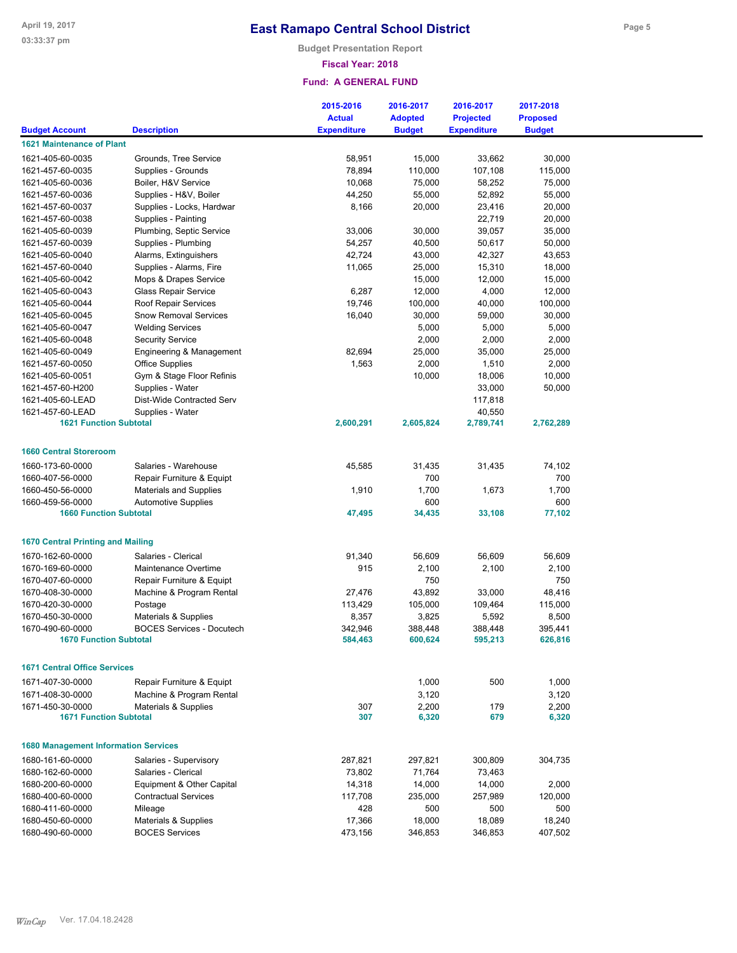**Budget Presentation Report**

### **Fiscal Year: 2018**

|                                             |                                  | 2015-2016          | 2016-2017      | 2016-2017          | 2017-2018       |  |
|---------------------------------------------|----------------------------------|--------------------|----------------|--------------------|-----------------|--|
|                                             |                                  | <b>Actual</b>      | <b>Adopted</b> | <b>Projected</b>   | <b>Proposed</b> |  |
| <b>Budget Account</b>                       | <b>Description</b>               | <b>Expenditure</b> | <b>Budget</b>  | <b>Expenditure</b> | <b>Budget</b>   |  |
| <b>1621 Maintenance of Plant</b>            |                                  |                    |                |                    |                 |  |
| 1621-405-60-0035                            | Grounds, Tree Service            | 58,951             | 15,000         | 33,662             | 30,000          |  |
| 1621-457-60-0035                            | Supplies - Grounds               | 78,894             | 110,000        | 107,108            | 115,000         |  |
| 1621-405-60-0036                            | Boiler, H&V Service              | 10,068             | 75,000         | 58,252             | 75,000          |  |
| 1621-457-60-0036                            | Supplies - H&V, Boiler           | 44,250             | 55,000         | 52,892             | 55,000          |  |
| 1621-457-60-0037                            | Supplies - Locks, Hardwar        | 8,166              | 20,000         | 23,416             | 20,000          |  |
| 1621-457-60-0038                            | Supplies - Painting              |                    |                | 22,719             | 20,000          |  |
| 1621-405-60-0039                            | Plumbing, Septic Service         | 33,006             | 30,000         | 39,057             | 35,000          |  |
| 1621-457-60-0039                            | Supplies - Plumbing              | 54,257             | 40,500         | 50,617             | 50,000          |  |
| 1621-405-60-0040                            | Alarms, Extinguishers            | 42,724             | 43,000         | 42,327             | 43,653          |  |
| 1621-457-60-0040                            | Supplies - Alarms, Fire          | 11,065             | 25,000         | 15,310             | 18,000          |  |
| 1621-405-60-0042                            | Mops & Drapes Service            |                    | 15,000         | 12,000             | 15,000          |  |
| 1621-405-60-0043                            | <b>Glass Repair Service</b>      | 6,287              | 12,000         | 4,000              | 12,000          |  |
| 1621-405-60-0044                            | Roof Repair Services             | 19,746             | 100,000        | 40,000             | 100,000         |  |
| 1621-405-60-0045                            | <b>Snow Removal Services</b>     | 16,040             | 30,000         | 59,000             | 30,000          |  |
| 1621-405-60-0047                            | <b>Welding Services</b>          |                    | 5,000          | 5,000              | 5,000           |  |
| 1621-405-60-0048                            | <b>Security Service</b>          |                    | 2,000          | 2,000              | 2,000           |  |
| 1621-405-60-0049                            | Engineering & Management         | 82,694             | 25,000         | 35,000             | 25,000          |  |
| 1621-457-60-0050                            | <b>Office Supplies</b>           | 1,563              | 2,000          | 1,510              | 2,000           |  |
| 1621-405-60-0051                            | Gym & Stage Floor Refinis        |                    | 10,000         | 18,006             | 10,000          |  |
| 1621-457-60-H200                            | Supplies - Water                 |                    |                | 33,000             | 50,000          |  |
| 1621-405-60-LEAD                            | Dist-Wide Contracted Serv        |                    |                | 117,818            |                 |  |
| 1621-457-60-LEAD                            | Supplies - Water                 |                    |                | 40,550             |                 |  |
| <b>1621 Function Subtotal</b>               |                                  | 2,600,291          | 2,605,824      | 2,789,741          | 2,762,289       |  |
|                                             |                                  |                    |                |                    |                 |  |
| <b>1660 Central Storeroom</b>               |                                  |                    |                |                    |                 |  |
| 1660-173-60-0000                            | Salaries - Warehouse             | 45,585             | 31,435         | 31,435             | 74,102          |  |
| 1660-407-56-0000                            | Repair Furniture & Equipt        |                    | 700            |                    | 700             |  |
| 1660-450-56-0000                            | <b>Materials and Supplies</b>    | 1,910              | 1,700          | 1,673              | 1,700           |  |
| 1660-459-56-0000                            | <b>Automotive Supplies</b>       |                    | 600            |                    | 600             |  |
| <b>1660 Function Subtotal</b>               |                                  | 47,495             | 34,435         | 33,108             | 77,102          |  |
|                                             |                                  |                    |                |                    |                 |  |
| <b>1670 Central Printing and Mailing</b>    |                                  |                    |                |                    |                 |  |
| 1670-162-60-0000                            | Salaries - Clerical              | 91,340             | 56,609         | 56,609             | 56,609          |  |
| 1670-169-60-0000                            | Maintenance Overtime             | 915                | 2,100          | 2,100              | 2,100           |  |
| 1670-407-60-0000                            | Repair Furniture & Equipt        |                    | 750            |                    | 750             |  |
| 1670-408-30-0000                            | Machine & Program Rental         | 27,476             | 43,892         | 33,000             | 48,416          |  |
| 1670-420-30-0000                            | Postage                          | 113,429            | 105,000        | 109,464            | 115,000         |  |
| 1670-450-30-0000                            | Materials & Supplies             | 8,357              | 3,825          | 5,592              | 8,500           |  |
| 1670-490-60-0000                            | <b>BOCES Services - Docutech</b> | 342,946            | 388,448        | 388.448            | 395,441         |  |
| <b>1670 Function Subtotal</b>               |                                  | 584,463            | 600,624        | 595,213            | 626,816         |  |
|                                             |                                  |                    |                |                    |                 |  |
| <b>1671 Central Office Services</b>         |                                  |                    |                |                    |                 |  |
| 1671-407-30-0000                            | Repair Furniture & Equipt        |                    | 1,000          | 500                | 1,000           |  |
| 1671-408-30-0000                            | Machine & Program Rental         |                    | 3,120          |                    | 3,120           |  |
| 1671-450-30-0000                            | Materials & Supplies             | 307                | 2,200          | 179                | 2,200           |  |
| <b>1671 Function Subtotal</b>               |                                  | 307                | 6,320          | 679                | 6,320           |  |
|                                             |                                  |                    |                |                    |                 |  |
| <b>1680 Management Information Services</b> |                                  |                    |                |                    |                 |  |
| 1680-161-60-0000                            | Salaries - Supervisory           | 287,821            | 297,821        | 300,809            | 304,735         |  |
| 1680-162-60-0000                            | Salaries - Clerical              | 73,802             | 71,764         | 73,463             |                 |  |
| 1680-200-60-0000                            | Equipment & Other Capital        | 14,318             | 14,000         | 14,000             | 2,000           |  |
| 1680-400-60-0000                            | <b>Contractual Services</b>      | 117,708            | 235,000        | 257,989            | 120,000         |  |
| 1680-411-60-0000                            | Mileage                          | 428                | 500            | 500                | 500             |  |
| 1680-450-60-0000                            | Materials & Supplies             | 17,366             | 18,000         | 18,089             | 18,240          |  |
| 1680-490-60-0000                            | <b>BOCES Services</b>            | 473,156            | 346,853        | 346,853            | 407,502         |  |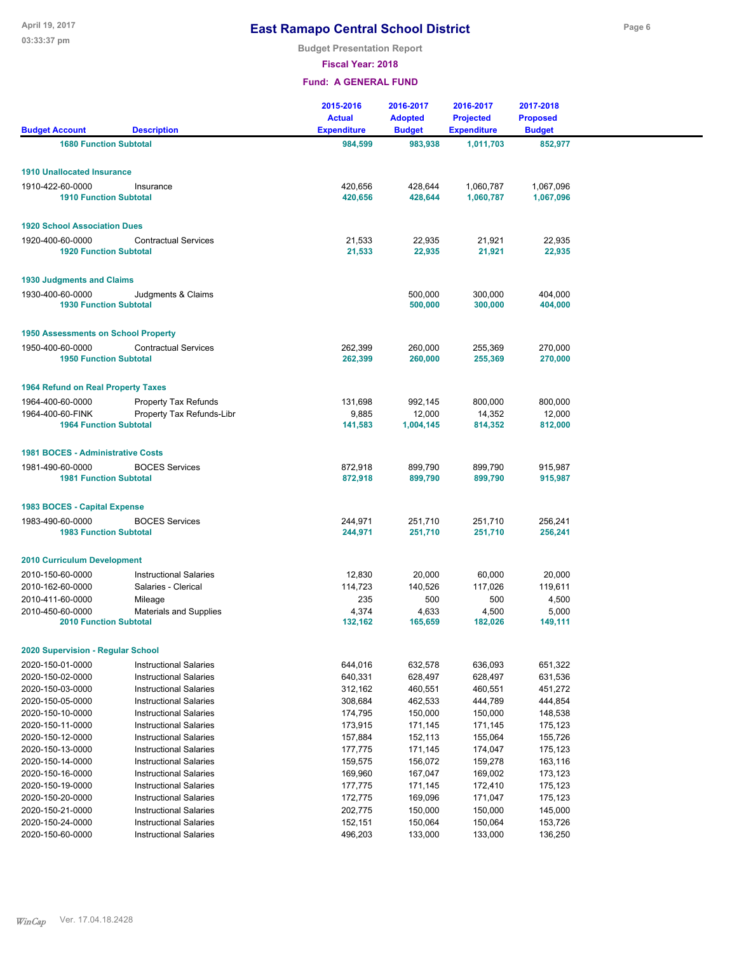**Budget Presentation Report**

**Fiscal Year: 2018**

| <b>Budget Account</b>                             | <b>Description</b>            | 2015-2016<br><b>Actual</b><br><b>Expenditure</b> | 2016-2017<br><b>Adopted</b><br><b>Budget</b> | 2016-2017<br><b>Projected</b> | 2017-2018<br><b>Proposed</b><br><b>Budget</b> |  |
|---------------------------------------------------|-------------------------------|--------------------------------------------------|----------------------------------------------|-------------------------------|-----------------------------------------------|--|
|                                                   |                               |                                                  |                                              | <b>Expenditure</b>            |                                               |  |
| <b>1680 Function Subtotal</b>                     |                               | 984,599                                          | 983,938                                      | 1,011,703                     | 852,977                                       |  |
| <b>1910 Unallocated Insurance</b>                 |                               |                                                  |                                              |                               |                                               |  |
| 1910-422-60-0000                                  | Insurance                     | 420,656                                          | 428,644                                      | 1,060,787                     | 1,067,096                                     |  |
| <b>1910 Function Subtotal</b>                     |                               | 420,656                                          | 428,644                                      | 1,060,787                     | 1,067,096                                     |  |
| <b>1920 School Association Dues</b>               |                               |                                                  |                                              |                               |                                               |  |
| 1920-400-60-0000                                  | <b>Contractual Services</b>   | 21,533                                           | 22,935                                       | 21,921                        | 22,935                                        |  |
| <b>1920 Function Subtotal</b>                     |                               | 21,533                                           | 22,935                                       | 21,921                        | 22,935                                        |  |
| <b>1930 Judgments and Claims</b>                  |                               |                                                  |                                              |                               |                                               |  |
| 1930-400-60-0000                                  | Judgments & Claims            |                                                  | 500,000                                      | 300,000                       | 404,000                                       |  |
| <b>1930 Function Subtotal</b>                     |                               |                                                  | 500,000                                      | 300,000                       | 404,000                                       |  |
| <b>1950 Assessments on School Property</b>        |                               |                                                  |                                              |                               |                                               |  |
| 1950-400-60-0000                                  | <b>Contractual Services</b>   | 262,399                                          | 260,000                                      | 255,369                       | 270,000                                       |  |
| <b>1950 Function Subtotal</b>                     |                               | 262,399                                          | 260,000                                      | 255,369                       | 270,000                                       |  |
|                                                   |                               |                                                  |                                              |                               |                                               |  |
| <b>1964 Refund on Real Property Taxes</b>         |                               |                                                  |                                              |                               |                                               |  |
| 1964-400-60-0000                                  | <b>Property Tax Refunds</b>   | 131,698                                          | 992,145                                      | 800,000                       | 800,000                                       |  |
| 1964-400-60-FINK<br><b>1964 Function Subtotal</b> | Property Tax Refunds-Libr     | 9,885<br>141,583                                 | 12,000<br>1,004,145                          | 14,352<br>814,352             | 12,000<br>812,000                             |  |
|                                                   |                               |                                                  |                                              |                               |                                               |  |
| <b>1981 BOCES - Administrative Costs</b>          |                               |                                                  |                                              |                               |                                               |  |
| 1981-490-60-0000                                  | <b>BOCES Services</b>         | 872,918                                          | 899,790                                      | 899,790                       | 915,987                                       |  |
| <b>1981 Function Subtotal</b>                     |                               | 872,918                                          | 899,790                                      | 899,790                       | 915,987                                       |  |
| 1983 BOCES - Capital Expense                      |                               |                                                  |                                              |                               |                                               |  |
| 1983-490-60-0000                                  | <b>BOCES Services</b>         | 244,971                                          | 251,710                                      | 251,710                       | 256,241                                       |  |
| <b>1983 Function Subtotal</b>                     |                               | 244,971                                          | 251,710                                      | 251,710                       | 256,241                                       |  |
| <b>2010 Curriculum Development</b>                |                               |                                                  |                                              |                               |                                               |  |
| 2010-150-60-0000                                  | <b>Instructional Salaries</b> | 12,830                                           | 20,000                                       | 60,000                        | 20,000                                        |  |
| 2010-162-60-0000                                  | Salaries - Clerical           | 114,723                                          | 140,526                                      | 117,026                       | 119,611                                       |  |
| 2010-411-60-0000                                  | Mileage                       | 235                                              | 500                                          | 500                           | 4,500                                         |  |
| 2010-450-60-0000                                  | <b>Materials and Supplies</b> | 4,374                                            | 4,633                                        | 4,500                         | 5,000                                         |  |
| <b>2010 Function Subtotal</b>                     |                               | 132,162                                          | 165,659                                      | 182,026                       | 149,111                                       |  |
| 2020 Supervision - Regular School                 |                               |                                                  |                                              |                               |                                               |  |
| 2020-150-01-0000                                  | <b>Instructional Salaries</b> | 644,016                                          | 632,578                                      | 636,093                       | 651,322                                       |  |
| 2020-150-02-0000                                  | <b>Instructional Salaries</b> | 640,331                                          | 628,497                                      | 628,497                       | 631,536                                       |  |
| 2020-150-03-0000                                  | <b>Instructional Salaries</b> | 312,162                                          | 460,551                                      | 460,551                       | 451,272                                       |  |
| 2020-150-05-0000                                  | <b>Instructional Salaries</b> | 308,684                                          | 462,533                                      | 444,789                       | 444,854                                       |  |
| 2020-150-10-0000                                  | <b>Instructional Salaries</b> | 174,795                                          | 150,000                                      | 150,000                       | 148,538                                       |  |
| 2020-150-11-0000                                  | <b>Instructional Salaries</b> | 173,915                                          | 171,145                                      | 171,145                       | 175,123                                       |  |
| 2020-150-12-0000                                  | <b>Instructional Salaries</b> | 157,884                                          | 152,113                                      | 155,064                       | 155,726                                       |  |
| 2020-150-13-0000                                  | <b>Instructional Salaries</b> | 177,775                                          | 171,145                                      | 174,047                       | 175,123                                       |  |
| 2020-150-14-0000                                  | <b>Instructional Salaries</b> | 159,575                                          | 156,072                                      | 159,278                       | 163,116                                       |  |
| 2020-150-16-0000                                  | <b>Instructional Salaries</b> | 169,960                                          | 167,047                                      | 169,002                       | 173,123                                       |  |
| 2020-150-19-0000                                  | <b>Instructional Salaries</b> | 177,775                                          | 171,145                                      | 172,410                       | 175,123                                       |  |
| 2020-150-20-0000                                  | <b>Instructional Salaries</b> | 172,775                                          | 169,096                                      | 171,047                       | 175,123                                       |  |
| 2020-150-21-0000                                  | <b>Instructional Salaries</b> | 202,775                                          | 150,000                                      | 150,000                       | 145,000                                       |  |
| 2020-150-24-0000                                  | <b>Instructional Salaries</b> | 152,151                                          | 150,064                                      | 150,064                       | 153,726                                       |  |
| 2020-150-60-0000                                  | <b>Instructional Salaries</b> | 496,203                                          | 133,000                                      | 133,000                       | 136,250                                       |  |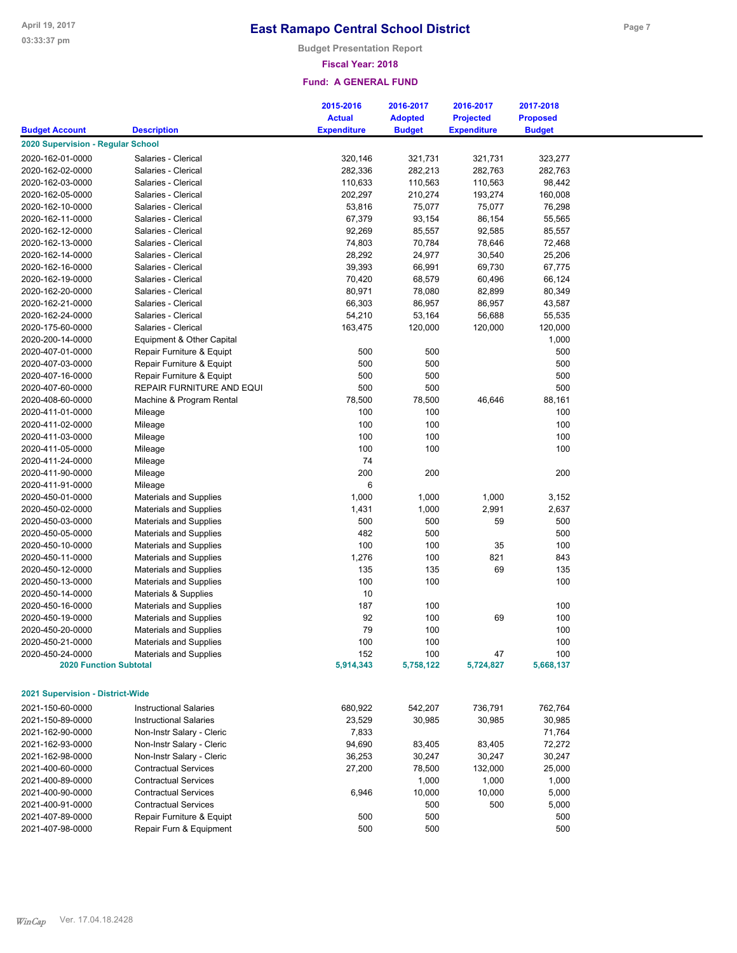**Budget Presentation Report**

### **Fiscal Year: 2018**

|                                   |                               | 2015-2016          | 2016-2017      | 2016-2017          | 2017-2018       |  |
|-----------------------------------|-------------------------------|--------------------|----------------|--------------------|-----------------|--|
|                                   |                               | <b>Actual</b>      | <b>Adopted</b> | <b>Projected</b>   | <b>Proposed</b> |  |
| <b>Budget Account</b>             | <b>Description</b>            | <b>Expenditure</b> | <b>Budget</b>  | <b>Expenditure</b> | <b>Budget</b>   |  |
| 2020 Supervision - Regular School |                               |                    |                |                    |                 |  |
| 2020-162-01-0000                  | Salaries - Clerical           | 320,146            | 321,731        | 321,731            | 323,277         |  |
| 2020-162-02-0000                  | Salaries - Clerical           | 282,336            | 282,213        | 282,763            | 282,763         |  |
| 2020-162-03-0000                  | Salaries - Clerical           | 110,633            | 110,563        | 110,563            | 98,442          |  |
| 2020-162-05-0000                  | Salaries - Clerical           | 202,297            | 210,274        | 193,274            | 160,008         |  |
| 2020-162-10-0000                  | Salaries - Clerical           | 53,816             | 75,077         | 75,077             | 76,298          |  |
| 2020-162-11-0000                  | Salaries - Clerical           | 67,379             | 93,154         | 86,154             | 55,565          |  |
| 2020-162-12-0000                  | Salaries - Clerical           | 92,269             | 85,557         | 92,585             | 85,557          |  |
| 2020-162-13-0000                  | Salaries - Clerical           | 74,803             | 70,784         | 78,646             | 72,468          |  |
| 2020-162-14-0000                  | Salaries - Clerical           | 28,292             | 24,977         | 30,540             | 25,206          |  |
| 2020-162-16-0000                  | Salaries - Clerical           | 39,393             | 66,991         | 69,730             | 67,775          |  |
|                                   | Salaries - Clerical           | 70,420             | 68,579         | 60,496             | 66,124          |  |
| 2020-162-19-0000                  |                               |                    |                |                    |                 |  |
| 2020-162-20-0000                  | Salaries - Clerical           | 80,971             | 78,080         | 82,899             | 80,349          |  |
| 2020-162-21-0000                  | Salaries - Clerical           | 66,303             | 86,957         | 86,957             | 43,587          |  |
| 2020-162-24-0000                  | Salaries - Clerical           | 54,210             | 53,164         | 56,688             | 55,535          |  |
| 2020-175-60-0000                  | Salaries - Clerical           | 163,475            | 120,000        | 120,000            | 120,000         |  |
| 2020-200-14-0000                  | Equipment & Other Capital     |                    |                |                    | 1,000           |  |
| 2020-407-01-0000                  | Repair Furniture & Equipt     | 500                | 500            |                    | 500             |  |
| 2020-407-03-0000                  | Repair Furniture & Equipt     | 500                | 500            |                    | 500             |  |
| 2020-407-16-0000                  | Repair Furniture & Equipt     | 500                | 500            |                    | 500             |  |
| 2020-407-60-0000                  | REPAIR FURNITURE AND EQUI     | 500                | 500            |                    | 500             |  |
| 2020-408-60-0000                  | Machine & Program Rental      | 78,500             | 78,500         | 46,646             | 88,161          |  |
| 2020-411-01-0000                  | Mileage                       | 100                | 100            |                    | 100             |  |
| 2020-411-02-0000                  | Mileage                       | 100                | 100            |                    | 100             |  |
| 2020-411-03-0000                  | Mileage                       | 100                | 100            |                    | 100             |  |
| 2020-411-05-0000                  | Mileage                       | 100                | 100            |                    | 100             |  |
| 2020-411-24-0000                  | Mileage                       | 74                 |                |                    |                 |  |
| 2020-411-90-0000                  | Mileage                       | 200                | 200            |                    | 200             |  |
| 2020-411-91-0000                  | Mileage                       | 6                  |                |                    |                 |  |
| 2020-450-01-0000                  | <b>Materials and Supplies</b> | 1,000              | 1,000          | 1,000              | 3,152           |  |
| 2020-450-02-0000                  | <b>Materials and Supplies</b> | 1,431              | 1,000          | 2,991              | 2,637           |  |
| 2020-450-03-0000                  | <b>Materials and Supplies</b> | 500                | 500            | 59                 | 500             |  |
| 2020-450-05-0000                  | <b>Materials and Supplies</b> | 482                | 500            |                    | 500             |  |
| 2020-450-10-0000                  | <b>Materials and Supplies</b> | 100                | 100            | 35                 | 100             |  |
| 2020-450-11-0000                  | <b>Materials and Supplies</b> | 1,276              | 100            | 821                | 843             |  |
| 2020-450-12-0000                  | <b>Materials and Supplies</b> | 135                | 135            | 69                 | 135             |  |
| 2020-450-13-0000                  | Materials and Supplies        | 100                | 100            |                    | 100             |  |
| 2020-450-14-0000                  | Materials & Supplies          | 10                 |                |                    |                 |  |
| 2020-450-16-0000                  | <b>Materials and Supplies</b> | 187                | 100            |                    | 100             |  |
| 2020-450-19-0000                  | <b>Materials and Supplies</b> | 92                 | 100            | 69                 | 100             |  |
| 2020-450-20-0000                  | <b>Materials and Supplies</b> | 79                 | 100            |                    | 100             |  |
| 2020-450-21-0000                  | Materials and Supplies        | 100                | 100            |                    | 100             |  |
| 2020-450-24-0000                  | <b>Materials and Supplies</b> | 152                | 100            | 47                 | 100             |  |
| <b>2020 Function Subtotal</b>     |                               | 5,914,343          | 5,758,122      | 5,724,827          | 5,668,137       |  |
|                                   |                               |                    |                |                    |                 |  |
| 2021 Supervision - District-Wide  |                               |                    |                |                    |                 |  |
| 2021-150-60-0000                  | <b>Instructional Salaries</b> | 680,922            | 542,207        | 736,791            | 762,764         |  |
| 2021-150-89-0000                  | <b>Instructional Salaries</b> | 23,529             | 30,985         | 30,985             | 30,985          |  |
| 2021-162-90-0000                  | Non-Instr Salary - Cleric     | 7,833              |                |                    | 71,764          |  |
| 2021-162-93-0000                  | Non-Instr Salary - Cleric     | 94,690             | 83,405         | 83,405             | 72,272          |  |
| 2021-162-98-0000                  | Non-Instr Salary - Cleric     | 36,253             | 30,247         | 30,247             | 30,247          |  |
| 2021-400-60-0000                  | <b>Contractual Services</b>   | 27,200             |                |                    |                 |  |
|                                   |                               |                    | 78,500         | 132,000            | 25,000          |  |
| 2021-400-89-0000                  | <b>Contractual Services</b>   |                    | 1,000          | 1,000              | 1,000           |  |
| 2021-400-90-0000                  | <b>Contractual Services</b>   | 6,946              | 10,000         | 10,000             | 5,000           |  |
| 2021-400-91-0000                  | <b>Contractual Services</b>   |                    | 500            | 500                | 5,000           |  |
| 2021-407-89-0000                  | Repair Furniture & Equipt     | 500                | 500            |                    | 500             |  |
| 2021-407-98-0000                  | Repair Furn & Equipment       | 500                | 500            |                    | 500             |  |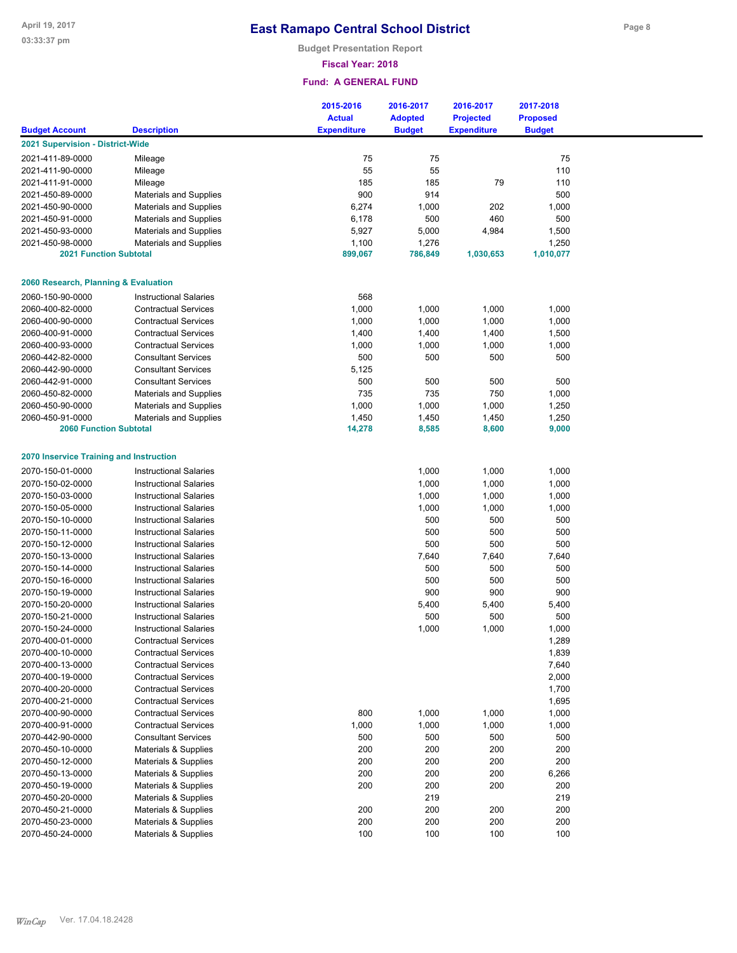**Budget Presentation Report**

## **Fiscal Year: 2018**

|                                         |                                 | 2015-2016<br><b>Actual</b> | 2016-2017<br><b>Adopted</b> | 2016-2017<br><b>Projected</b> | 2017-2018<br><b>Proposed</b> |  |
|-----------------------------------------|---------------------------------|----------------------------|-----------------------------|-------------------------------|------------------------------|--|
| <b>Budget Account</b>                   | <b>Description</b>              | <b>Expenditure</b>         | <b>Budget</b>               | <b>Expenditure</b>            | <b>Budget</b>                |  |
| 2021 Supervision - District-Wide        |                                 |                            |                             |                               |                              |  |
| 2021-411-89-0000                        | Mileage                         | 75                         | 75                          |                               | 75                           |  |
| 2021-411-90-0000                        | Mileage                         | 55                         | 55                          |                               | 110                          |  |
| 2021-411-91-0000                        | Mileage                         | 185                        | 185                         | 79                            | 110                          |  |
| 2021-450-89-0000                        | <b>Materials and Supplies</b>   | 900                        | 914                         |                               | 500                          |  |
| 2021-450-90-0000                        | <b>Materials and Supplies</b>   | 6,274                      | 1,000                       | 202                           | 1,000                        |  |
| 2021-450-91-0000                        | <b>Materials and Supplies</b>   | 6,178                      | 500                         | 460                           | 500                          |  |
| 2021-450-93-0000                        | <b>Materials and Supplies</b>   | 5,927                      | 5,000                       | 4,984                         | 1,500                        |  |
| 2021-450-98-0000                        | <b>Materials and Supplies</b>   | 1,100                      | 1,276                       |                               | 1,250                        |  |
| <b>2021 Function Subtotal</b>           |                                 | 899,067                    | 786,849                     | 1,030,653                     | 1,010,077                    |  |
| 2060 Research, Planning & Evaluation    |                                 |                            |                             |                               |                              |  |
| 2060-150-90-0000                        | <b>Instructional Salaries</b>   | 568                        |                             |                               |                              |  |
| 2060-400-82-0000                        | <b>Contractual Services</b>     | 1,000                      | 1,000                       | 1,000                         | 1,000                        |  |
| 2060-400-90-0000                        | <b>Contractual Services</b>     | 1,000                      | 1,000                       | 1,000                         | 1,000                        |  |
| 2060-400-91-0000                        | <b>Contractual Services</b>     | 1,400                      | 1,400                       | 1,400                         | 1,500                        |  |
| 2060-400-93-0000                        | <b>Contractual Services</b>     | 1,000                      | 1,000                       | 1,000                         | 1,000                        |  |
| 2060-442-82-0000                        | <b>Consultant Services</b>      | 500                        | 500                         | 500                           | 500                          |  |
| 2060-442-90-0000                        | <b>Consultant Services</b>      | 5,125                      |                             |                               |                              |  |
| 2060-442-91-0000                        | <b>Consultant Services</b>      | 500                        | 500                         | 500                           | 500                          |  |
| 2060-450-82-0000                        | <b>Materials and Supplies</b>   | 735                        | 735                         | 750                           | 1,000                        |  |
| 2060-450-90-0000                        | <b>Materials and Supplies</b>   | 1,000                      | 1,000                       | 1,000                         | 1,250                        |  |
| 2060-450-91-0000                        | <b>Materials and Supplies</b>   | 1,450                      | 1,450                       | 1,450                         | 1,250                        |  |
| <b>2060 Function Subtotal</b>           |                                 | 14,278                     | 8,585                       | 8,600                         | 9,000                        |  |
|                                         |                                 |                            |                             |                               |                              |  |
| 2070 Inservice Training and Instruction |                                 |                            |                             |                               |                              |  |
| 2070-150-01-0000                        | <b>Instructional Salaries</b>   |                            | 1,000                       | 1,000                         | 1,000                        |  |
| 2070-150-02-0000                        | <b>Instructional Salaries</b>   |                            | 1,000                       | 1,000                         | 1,000                        |  |
| 2070-150-03-0000                        | <b>Instructional Salaries</b>   |                            | 1,000                       | 1,000                         | 1,000                        |  |
| 2070-150-05-0000                        | <b>Instructional Salaries</b>   |                            | 1,000                       | 1,000                         | 1,000                        |  |
| 2070-150-10-0000                        | <b>Instructional Salaries</b>   |                            | 500                         | 500                           | 500                          |  |
| 2070-150-11-0000                        | <b>Instructional Salaries</b>   |                            | 500                         | 500                           | 500                          |  |
| 2070-150-12-0000                        | <b>Instructional Salaries</b>   |                            | 500                         | 500                           | 500                          |  |
| 2070-150-13-0000                        | <b>Instructional Salaries</b>   |                            | 7,640                       | 7,640                         | 7,640                        |  |
| 2070-150-14-0000                        | <b>Instructional Salaries</b>   |                            | 500                         | 500                           | 500                          |  |
| 2070-150-16-0000                        | <b>Instructional Salaries</b>   |                            | 500                         | 500                           | 500                          |  |
| 2070-150-19-0000                        | <b>Instructional Salaries</b>   |                            | 900                         | 900                           | 900                          |  |
| 2070-150-20-0000                        | <b>Instructional Salaries</b>   |                            | 5,400                       | 5,400                         | 5,400                        |  |
| 2070-150-21-0000                        | <b>Instructional Salaries</b>   |                            | 500                         | 500                           | 500                          |  |
| 2070-150-24-0000                        | <b>Instructional Salaries</b>   |                            | 1,000                       | 1,000                         | 1,000                        |  |
| 2070-400-01-0000                        | <b>Contractual Services</b>     |                            |                             |                               | 1,289                        |  |
| 2070-400-10-0000                        | <b>Contractual Services</b>     |                            |                             |                               | 1,839                        |  |
| 2070-400-13-0000                        | <b>Contractual Services</b>     |                            |                             |                               | 7,640                        |  |
| 2070-400-19-0000                        | <b>Contractual Services</b>     |                            |                             |                               | 2,000                        |  |
| 2070-400-20-0000                        | <b>Contractual Services</b>     |                            |                             |                               | 1,700                        |  |
| 2070-400-21-0000                        | <b>Contractual Services</b>     |                            |                             |                               | 1,695                        |  |
| 2070-400-90-0000                        | <b>Contractual Services</b>     | 800                        | 1,000                       | 1,000                         | 1,000                        |  |
| 2070-400-91-0000                        | <b>Contractual Services</b>     | 1,000                      | 1,000                       | 1,000                         | 1,000                        |  |
| 2070-442-90-0000                        | <b>Consultant Services</b>      | 500                        | 500                         | 500                           | 500                          |  |
| 2070-450-10-0000                        | Materials & Supplies            | 200                        | 200                         | 200                           | 200                          |  |
| 2070-450-12-0000                        | <b>Materials &amp; Supplies</b> | 200                        | 200                         | 200                           | 200                          |  |
| 2070-450-13-0000                        | <b>Materials &amp; Supplies</b> | 200                        | 200                         | 200                           | 6,266                        |  |
| 2070-450-19-0000                        | <b>Materials &amp; Supplies</b> | 200                        | 200                         | 200                           | 200                          |  |
| 2070-450-20-0000                        | Materials & Supplies            |                            | 219                         |                               | 219                          |  |
| 2070-450-21-0000                        | Materials & Supplies            | 200                        | 200                         | 200                           | 200                          |  |
| 2070-450-23-0000                        | Materials & Supplies            | 200                        | 200                         | 200                           | 200                          |  |
| 2070-450-24-0000                        | Materials & Supplies            | 100                        | 100                         | 100                           | 100                          |  |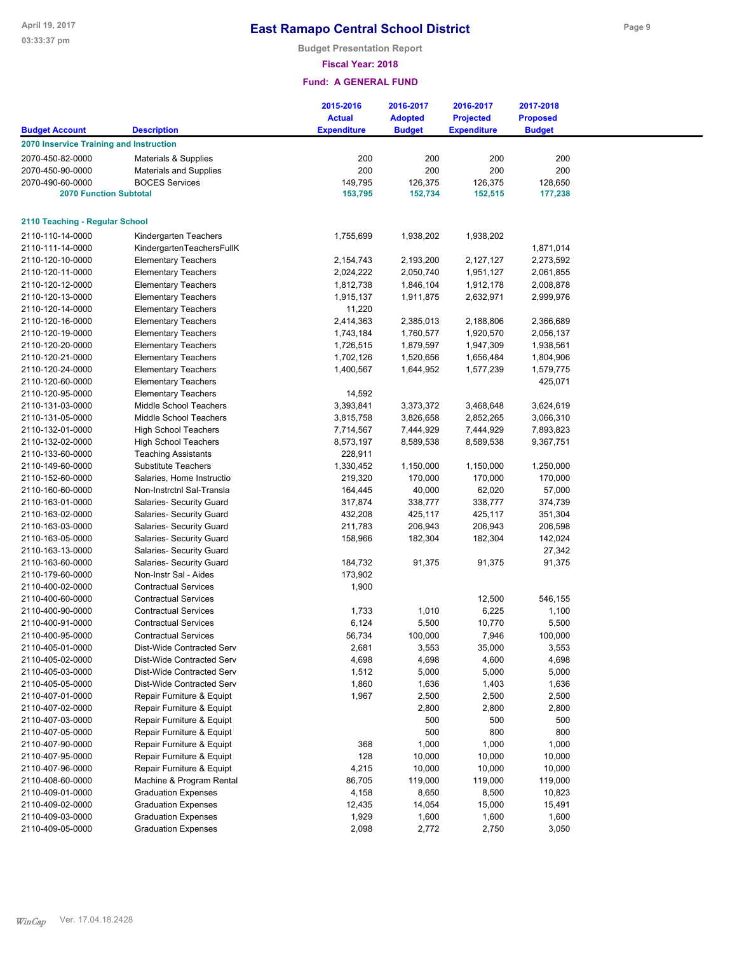**Budget Presentation Report**

### **Fiscal Year: 2018**

|                                         |                                                         | 2015-2016<br><b>Actual</b> | 2016-2017<br><b>Adopted</b> | 2016-2017<br><b>Projected</b> | 2017-2018<br><b>Proposed</b> |  |
|-----------------------------------------|---------------------------------------------------------|----------------------------|-----------------------------|-------------------------------|------------------------------|--|
| <b>Budget Account</b>                   | <b>Description</b>                                      | <b>Expenditure</b>         | <b>Budget</b>               | <b>Expenditure</b>            | <b>Budget</b>                |  |
| 2070 Inservice Training and Instruction |                                                         |                            |                             |                               |                              |  |
| 2070-450-82-0000                        | Materials & Supplies                                    | 200                        | 200                         | 200                           | 200                          |  |
| 2070-450-90-0000                        | <b>Materials and Supplies</b>                           | 200                        | 200                         | 200                           | 200                          |  |
| 2070-490-60-0000                        | <b>BOCES Services</b>                                   | 149,795                    | 126,375                     | 126,375                       | 128,650                      |  |
| <b>2070 Function Subtotal</b>           |                                                         | 153,795                    | 152,734                     | 152,515                       | 177,238                      |  |
| 2110 Teaching - Regular School          |                                                         |                            |                             |                               |                              |  |
| 2110-110-14-0000                        |                                                         |                            |                             |                               |                              |  |
| 2110-111-14-0000                        | Kindergarten Teachers                                   | 1,755,699                  | 1,938,202                   | 1,938,202                     |                              |  |
| 2110-120-10-0000                        | KindergartenTeachersFullK<br><b>Elementary Teachers</b> | 2,154,743                  | 2,193,200                   | 2,127,127                     | 1,871,014<br>2,273,592       |  |
| 2110-120-11-0000                        |                                                         | 2,024,222                  | 2,050,740                   |                               | 2,061,855                    |  |
| 2110-120-12-0000                        | <b>Elementary Teachers</b>                              |                            |                             | 1,951,127                     | 2,008,878                    |  |
| 2110-120-13-0000                        | <b>Elementary Teachers</b>                              | 1,812,738                  | 1,846,104                   | 1,912,178                     | 2,999,976                    |  |
| 2110-120-14-0000                        | <b>Elementary Teachers</b>                              | 1,915,137<br>11,220        | 1,911,875                   | 2,632,971                     |                              |  |
|                                         | <b>Elementary Teachers</b>                              |                            |                             |                               |                              |  |
| 2110-120-16-0000                        | <b>Elementary Teachers</b>                              | 2,414,363                  | 2,385,013                   | 2,188,806                     | 2,366,689                    |  |
| 2110-120-19-0000                        | <b>Elementary Teachers</b>                              | 1,743,184                  | 1,760,577                   | 1,920,570                     | 2,056,137                    |  |
| 2110-120-20-0000                        | <b>Elementary Teachers</b>                              | 1,726,515                  | 1,879,597                   | 1,947,309                     | 1,938,561                    |  |
| 2110-120-21-0000                        | <b>Elementary Teachers</b>                              | 1,702,126                  | 1,520,656                   | 1,656,484                     | 1,804,906                    |  |
| 2110-120-24-0000                        | <b>Elementary Teachers</b>                              | 1,400,567                  | 1,644,952                   | 1,577,239                     | 1,579,775                    |  |
| 2110-120-60-0000                        | <b>Elementary Teachers</b>                              |                            |                             |                               | 425,071                      |  |
| 2110-120-95-0000                        | <b>Elementary Teachers</b>                              | 14,592                     |                             |                               |                              |  |
| 2110-131-03-0000                        | Middle School Teachers                                  | 3,393,841                  | 3,373,372                   | 3,468,648                     | 3,624,619                    |  |
| 2110-131-05-0000                        | Middle School Teachers                                  | 3,815,758                  | 3,826,658                   | 2,852,265                     | 3,066,310                    |  |
| 2110-132-01-0000                        | <b>High School Teachers</b>                             | 7,714,567                  | 7,444,929                   | 7,444,929                     | 7,893,823                    |  |
| 2110-132-02-0000                        | <b>High School Teachers</b>                             | 8,573,197                  | 8,589,538                   | 8,589,538                     | 9,367,751                    |  |
| 2110-133-60-0000                        | <b>Teaching Assistants</b>                              | 228,911                    |                             |                               |                              |  |
| 2110-149-60-0000                        | <b>Substitute Teachers</b>                              | 1,330,452                  | 1,150,000                   | 1,150,000                     | 1,250,000                    |  |
| 2110-152-60-0000                        | Salaries, Home Instructio                               | 219,320                    | 170,000                     | 170,000                       | 170,000                      |  |
| 2110-160-60-0000                        | Non-Instrctnl Sal-Transla                               | 164,445                    | 40,000                      | 62,020                        | 57,000                       |  |
| 2110-163-01-0000                        | Salaries- Security Guard                                | 317,874                    | 338,777                     | 338,777                       | 374,739                      |  |
| 2110-163-02-0000                        | Salaries- Security Guard                                | 432,208                    | 425,117                     | 425,117                       | 351,304                      |  |
| 2110-163-03-0000                        | Salaries- Security Guard                                | 211,783                    | 206,943                     | 206,943                       | 206,598                      |  |
| 2110-163-05-0000                        | Salaries- Security Guard                                | 158,966                    | 182,304                     | 182,304                       | 142,024                      |  |
| 2110-163-13-0000                        | Salaries- Security Guard                                |                            |                             |                               | 27,342                       |  |
| 2110-163-60-0000                        | Salaries- Security Guard                                | 184,732                    | 91,375                      | 91,375                        | 91,375                       |  |
| 2110-179-60-0000                        | Non-Instr Sal - Aides                                   | 173,902                    |                             |                               |                              |  |
| 2110-400-02-0000                        | <b>Contractual Services</b>                             | 1,900                      |                             |                               |                              |  |
| 2110-400-60-0000                        | <b>Contractual Services</b>                             |                            |                             | 12,500                        | 546,155                      |  |
| 2110-400-90-0000                        | <b>Contractual Services</b>                             | 1,733                      | 1,010                       | 6,225                         | 1,100                        |  |
| 2110-400-91-0000                        | <b>Contractual Services</b>                             | 6,124                      | 5,500                       | 10,770                        | 5,500                        |  |
| 2110-400-95-0000                        | <b>Contractual Services</b>                             | 56,734                     | 100,000                     | 7,946                         | 100,000                      |  |
| 2110-405-01-0000                        | Dist-Wide Contracted Serv                               | 2,681                      | 3,553                       | 35,000                        | 3,553                        |  |
| 2110-405-02-0000                        | Dist-Wide Contracted Serv                               | 4,698                      | 4,698                       | 4,600                         | 4,698                        |  |
| 2110-405-03-0000                        | Dist-Wide Contracted Serv                               | 1,512                      | 5,000                       | 5,000                         | 5,000                        |  |
| 2110-405-05-0000                        | Dist-Wide Contracted Serv                               | 1,860                      | 1,636                       | 1,403                         | 1,636                        |  |
| 2110-407-01-0000                        | Repair Furniture & Equipt                               | 1,967                      | 2,500                       | 2,500                         | 2,500                        |  |
| 2110-407-02-0000                        | Repair Furniture & Equipt                               |                            | 2,800                       | 2,800                         | 2,800                        |  |
| 2110-407-03-0000                        | Repair Furniture & Equipt                               |                            | 500                         | 500                           | 500                          |  |
| 2110-407-05-0000                        | Repair Furniture & Equipt                               |                            | 500                         | 800                           | 800                          |  |
| 2110-407-90-0000                        | Repair Furniture & Equipt                               | 368                        | 1,000                       | 1,000                         | 1,000                        |  |
| 2110-407-95-0000                        | Repair Furniture & Equipt                               | 128                        | 10,000                      | 10,000                        | 10,000                       |  |
| 2110-407-96-0000                        | Repair Furniture & Equipt                               | 4,215                      | 10,000                      | 10,000                        | 10,000                       |  |
| 2110-408-60-0000                        | Machine & Program Rental                                | 86,705                     | 119,000                     | 119,000                       | 119,000                      |  |
| 2110-409-01-0000                        | <b>Graduation Expenses</b>                              | 4,158                      | 8,650                       | 8,500                         | 10,823                       |  |
| 2110-409-02-0000                        | <b>Graduation Expenses</b>                              | 12,435                     | 14,054                      | 15,000                        | 15,491                       |  |
| 2110-409-03-0000                        | <b>Graduation Expenses</b>                              | 1,929                      | 1,600                       | 1,600                         | 1,600                        |  |
| 2110-409-05-0000                        | <b>Graduation Expenses</b>                              | 2,098                      | 2,772                       | 2,750                         | 3,050                        |  |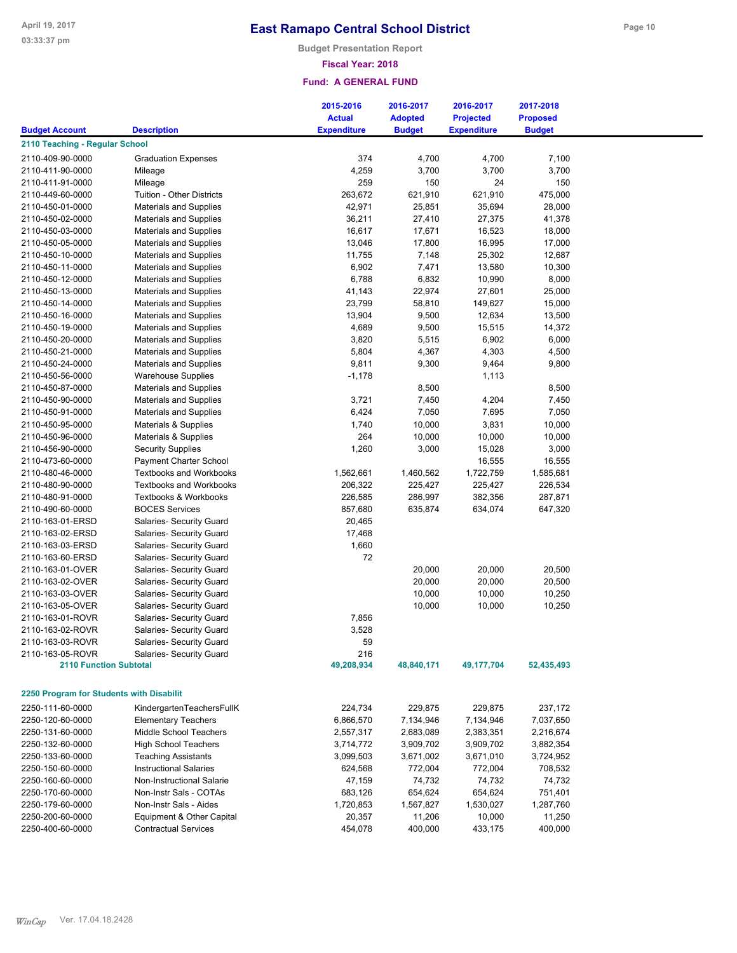**Budget Presentation Report**

### **Fiscal Year: 2018**

|                                          |                                  | 2015-2016          | 2016-2017      | 2016-2017          | 2017-2018       |
|------------------------------------------|----------------------------------|--------------------|----------------|--------------------|-----------------|
|                                          |                                  | <b>Actual</b>      | <b>Adopted</b> | <b>Projected</b>   | <b>Proposed</b> |
| <b>Budget Account</b>                    | <b>Description</b>               | <b>Expenditure</b> | <b>Budget</b>  | <b>Expenditure</b> | <b>Budget</b>   |
| 2110 Teaching - Regular School           |                                  |                    |                |                    |                 |
| 2110-409-90-0000                         | <b>Graduation Expenses</b>       | 374                | 4,700          | 4,700              | 7,100           |
| 2110-411-90-0000                         | Mileage                          | 4,259              | 3,700          | 3,700              | 3,700           |
| 2110-411-91-0000                         | Mileage                          | 259                | 150            | 24                 | 150             |
| 2110-449-60-0000                         | Tuition - Other Districts        | 263,672            | 621,910        | 621,910            | 475,000         |
| 2110-450-01-0000                         | <b>Materials and Supplies</b>    | 42,971             | 25,851         | 35,694             | 28,000          |
| 2110-450-02-0000                         | <b>Materials and Supplies</b>    | 36,211             | 27,410         | 27,375             | 41,378          |
| 2110-450-03-0000                         | <b>Materials and Supplies</b>    | 16,617             | 17,671         | 16,523             | 18,000          |
| 2110-450-05-0000                         | <b>Materials and Supplies</b>    | 13,046             | 17,800         | 16,995             | 17,000          |
| 2110-450-10-0000                         | <b>Materials and Supplies</b>    | 11,755             | 7,148          | 25,302             | 12,687          |
| 2110-450-11-0000                         | <b>Materials and Supplies</b>    | 6,902              | 7,471          | 13,580             | 10,300          |
| 2110-450-12-0000                         | <b>Materials and Supplies</b>    | 6,788              | 6,832          | 10,990             | 8,000           |
| 2110-450-13-0000                         | <b>Materials and Supplies</b>    | 41,143             | 22,974         | 27,601             | 25,000          |
| 2110-450-14-0000                         | <b>Materials and Supplies</b>    | 23,799             |                | 149,627            | 15,000          |
|                                          |                                  |                    | 58,810         |                    |                 |
| 2110-450-16-0000                         | <b>Materials and Supplies</b>    | 13,904             | 9,500          | 12,634             | 13,500          |
| 2110-450-19-0000                         | <b>Materials and Supplies</b>    | 4,689              | 9,500          | 15,515             | 14,372          |
| 2110-450-20-0000                         | <b>Materials and Supplies</b>    | 3,820              | 5,515          | 6,902              | 6,000           |
| 2110-450-21-0000                         | <b>Materials and Supplies</b>    | 5,804              | 4,367          | 4,303              | 4,500           |
| 2110-450-24-0000                         | Materials and Supplies           | 9,811              | 9,300          | 9,464              | 9,800           |
| 2110-450-56-0000                         | <b>Warehouse Supplies</b>        | $-1,178$           |                | 1,113              |                 |
| 2110-450-87-0000                         | <b>Materials and Supplies</b>    |                    | 8,500          |                    | 8,500           |
| 2110-450-90-0000                         | <b>Materials and Supplies</b>    | 3,721              | 7,450          | 4,204              | 7,450           |
| 2110-450-91-0000                         | <b>Materials and Supplies</b>    | 6,424              | 7,050          | 7,695              | 7,050           |
| 2110-450-95-0000                         | Materials & Supplies             | 1,740              | 10,000         | 3,831              | 10,000          |
| 2110-450-96-0000                         | Materials & Supplies             | 264                | 10,000         | 10,000             | 10,000          |
| 2110-456-90-0000                         | <b>Security Supplies</b>         | 1,260              | 3,000          | 15,028             | 3,000           |
| 2110-473-60-0000                         | Payment Charter School           |                    |                | 16,555             | 16,555          |
| 2110-480-46-0000                         | <b>Textbooks and Workbooks</b>   | 1,562,661          | 1,460,562      | 1,722,759          | 1,585,681       |
| 2110-480-90-0000                         | <b>Textbooks and Workbooks</b>   | 206,322            | 225,427        | 225,427            | 226,534         |
| 2110-480-91-0000                         | <b>Textbooks &amp; Workbooks</b> | 226,585            | 286,997        | 382,356            | 287,871         |
| 2110-490-60-0000                         | <b>BOCES Services</b>            | 857,680            | 635,874        | 634,074            | 647,320         |
| 2110-163-01-ERSD                         | Salaries- Security Guard         | 20,465             |                |                    |                 |
| 2110-163-02-ERSD                         | Salaries- Security Guard         | 17,468             |                |                    |                 |
| 2110-163-03-ERSD                         | Salaries- Security Guard         | 1,660              |                |                    |                 |
| 2110-163-60-ERSD                         | Salaries- Security Guard         | 72                 |                |                    |                 |
| 2110-163-01-OVER                         | Salaries- Security Guard         |                    | 20,000         | 20,000             | 20,500          |
| 2110-163-02-OVER                         | Salaries- Security Guard         |                    | 20,000         | 20,000             | 20,500          |
| 2110-163-03-OVER                         | Salaries- Security Guard         |                    | 10,000         | 10,000             | 10,250          |
| 2110-163-05-OVER                         | Salaries- Security Guard         |                    | 10,000         | 10,000             | 10,250          |
| 2110-163-01-ROVR                         | Salaries- Security Guard         | 7,856              |                |                    |                 |
| 2110-163-02-ROVR                         | Salaries- Security Guard         | 3,528              |                |                    |                 |
| 2110-163-03-ROVR                         | Salaries- Security Guard         | 59                 |                |                    |                 |
| 2110-163-05-ROVR                         | Salaries- Security Guard         | 216                |                |                    |                 |
| <b>2110 Function Subtotal</b>            |                                  | 49,208,934         | 48,840,171     | 49, 177, 704       | 52,435,493      |
| 2250 Program for Students with Disabilit |                                  |                    |                |                    |                 |
| 2250-111-60-0000                         | KindergartenTeachersFullK        | 224,734            | 229,875        | 229,875            | 237,172         |
| 2250-120-60-0000                         | <b>Elementary Teachers</b>       | 6,866,570          | 7,134,946      | 7,134,946          | 7,037,650       |
| 2250-131-60-0000                         | Middle School Teachers           | 2,557,317          | 2,683,089      | 2,383,351          | 2,216,674       |
| 2250-132-60-0000                         | <b>High School Teachers</b>      | 3,714,772          | 3,909,702      | 3,909,702          | 3,882,354       |
| 2250-133-60-0000                         | <b>Teaching Assistants</b>       | 3,099,503          | 3,671,002      | 3,671,010          | 3,724,952       |
| 2250-150-60-0000                         | <b>Instructional Salaries</b>    | 624,568            | 772,004        | 772,004            | 708,532         |
| 2250-160-60-0000                         | Non-Instructional Salarie        | 47,159             | 74,732         | 74,732             | 74,732          |
| 2250-170-60-0000                         | Non-Instr Sals - COTAs           | 683,126            | 654,624        | 654,624            | 751,401         |
| 2250-179-60-0000                         | Non-Instr Sals - Aides           | 1,720,853          | 1,567,827      | 1,530,027          | 1,287,760       |
| 2250-200-60-0000                         | Equipment & Other Capital        | 20,357             | 11,206         | 10,000             | 11,250          |
| 2250-400-60-0000                         | <b>Contractual Services</b>      | 454,078            | 400,000        | 433,175            | 400,000         |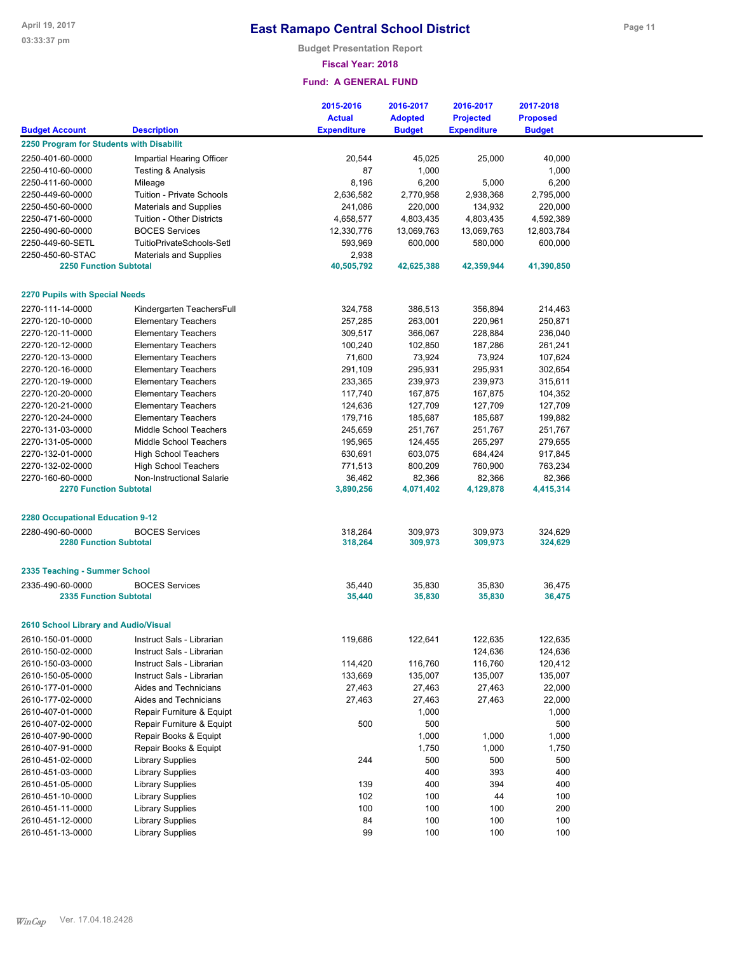## **Fiscal Year: 2018**

|                                          |                               | 2015-2016          | 2016-2017      | 2016-2017          | 2017-2018       |
|------------------------------------------|-------------------------------|--------------------|----------------|--------------------|-----------------|
|                                          |                               | <b>Actual</b>      | <b>Adopted</b> | <b>Projected</b>   | <b>Proposed</b> |
| <b>Budget Account</b>                    | <b>Description</b>            | <b>Expenditure</b> | <b>Budget</b>  | <b>Expenditure</b> | <b>Budget</b>   |
| 2250 Program for Students with Disabilit |                               |                    |                |                    |                 |
| 2250-401-60-0000                         | Impartial Hearing Officer     | 20,544             | 45,025         | 25,000             | 40,000          |
| 2250-410-60-0000                         | Testing & Analysis            | 87                 | 1,000          |                    | 1,000           |
| 2250-411-60-0000                         | Mileage                       | 8,196              | 6,200          | 5,000              | 6,200           |
| 2250-449-60-0000                         | Tuition - Private Schools     | 2,636,582          | 2,770,958      | 2,938,368          | 2,795,000       |
| 2250-450-60-0000                         | <b>Materials and Supplies</b> | 241,086            | 220,000        | 134,932            | 220,000         |
| 2250-471-60-0000                         | Tuition - Other Districts     | 4,658,577          | 4,803,435      | 4,803,435          | 4,592,389       |
| 2250-490-60-0000                         | <b>BOCES Services</b>         | 12,330,776         | 13,069,763     | 13,069,763         | 12,803,784      |
| 2250-449-60-SETL                         | TuitioPrivateSchools-Setl     | 593,969            | 600,000        | 580,000            | 600,000         |
| 2250-450-60-STAC                         | <b>Materials and Supplies</b> | 2,938              |                |                    |                 |
| <b>2250 Function Subtotal</b>            |                               | 40,505,792         | 42,625,388     | 42,359,944         | 41,390,850      |
|                                          |                               |                    |                |                    |                 |
| <b>2270 Pupils with Special Needs</b>    |                               |                    |                |                    |                 |
| 2270-111-14-0000                         | Kindergarten TeachersFull     | 324,758            | 386,513        | 356,894            | 214,463         |
| 2270-120-10-0000                         | <b>Elementary Teachers</b>    | 257,285            | 263,001        | 220,961            | 250,871         |
| 2270-120-11-0000                         | <b>Elementary Teachers</b>    | 309,517            | 366,067        | 228,884            | 236,040         |
| 2270-120-12-0000                         | <b>Elementary Teachers</b>    | 100,240            | 102,850        | 187,286            | 261,241         |
| 2270-120-13-0000                         | <b>Elementary Teachers</b>    | 71,600             | 73,924         | 73,924             | 107,624         |
| 2270-120-16-0000                         | <b>Elementary Teachers</b>    | 291,109            | 295,931        | 295,931            | 302,654         |
| 2270-120-19-0000                         | <b>Elementary Teachers</b>    | 233,365            | 239,973        | 239,973            | 315,611         |
| 2270-120-20-0000                         | <b>Elementary Teachers</b>    | 117,740            | 167,875        | 167,875            | 104,352         |
| 2270-120-21-0000                         | <b>Elementary Teachers</b>    | 124,636            | 127,709        | 127,709            | 127,709         |
| 2270-120-24-0000                         | <b>Elementary Teachers</b>    | 179,716            | 185,687        | 185,687            | 199,882         |
| 2270-131-03-0000                         | Middle School Teachers        | 245,659            | 251,767        | 251,767            | 251,767         |
| 2270-131-05-0000                         | Middle School Teachers        | 195,965            | 124,455        | 265,297            | 279,655         |
| 2270-132-01-0000                         | <b>High School Teachers</b>   | 630,691            | 603,075        | 684,424            | 917,845         |
| 2270-132-02-0000                         | <b>High School Teachers</b>   | 771,513            | 800,209        | 760,900            | 763,234         |
| 2270-160-60-0000                         | Non-Instructional Salarie     | 36,462             | 82,366         | 82,366             | 82,366          |
| <b>2270 Function Subtotal</b>            |                               | 3,890,256          | 4,071,402      | 4,129,878          | 4,415,314       |
|                                          |                               |                    |                |                    |                 |
| 2280 Occupational Education 9-12         |                               |                    |                |                    |                 |
| 2280-490-60-0000                         | <b>BOCES Services</b>         | 318,264            | 309,973        | 309,973            | 324,629         |
| <b>2280 Function Subtotal</b>            |                               | 318,264            | 309,973        | 309,973            | 324,629         |
|                                          |                               |                    |                |                    |                 |
| 2335 Teaching - Summer School            |                               |                    |                |                    |                 |
| 2335-490-60-0000                         | <b>BOCES Services</b>         | 35,440             | 35,830         | 35,830             | 36,475          |
| <b>2335 Function Subtotal</b>            |                               | 35,440             | 35,830         | 35,830             | 36,475          |
|                                          |                               |                    |                |                    |                 |
| 2610 School Library and Audio/Visual     |                               |                    |                |                    |                 |
| 2610-150-01-0000                         | Instruct Sals - Librarian     | 119,686            | 122,641        | 122,635            | 122,635         |
| 2610-150-02-0000                         | Instruct Sals - Librarian     |                    |                | 124,636            | 124,636         |
| 2610-150-03-0000                         | Instruct Sals - Librarian     | 114,420            | 116,760        | 116,760            | 120,412         |
| 2610-150-05-0000                         | Instruct Sals - Librarian     | 133,669            | 135,007        | 135,007            | 135,007         |
| 2610-177-01-0000                         | Aides and Technicians         | 27,463             | 27,463         | 27,463             | 22,000          |
| 2610-177-02-0000                         | Aides and Technicians         | 27,463             | 27,463         | 27,463             | 22,000          |
| 2610-407-01-0000                         | Repair Furniture & Equipt     |                    | 1,000          |                    | 1,000           |
| 2610-407-02-0000                         | Repair Furniture & Equipt     | 500                | 500            |                    | 500             |
| 2610-407-90-0000                         | Repair Books & Equipt         |                    | 1,000          | 1,000              | 1,000           |
| 2610-407-91-0000                         | Repair Books & Equipt         |                    | 1,750          | 1,000              | 1,750           |
| 2610-451-02-0000                         | <b>Library Supplies</b>       | 244                | 500            | 500                | 500             |
| 2610-451-03-0000                         | <b>Library Supplies</b>       |                    | 400            | 393                | 400             |
| 2610-451-05-0000                         | <b>Library Supplies</b>       | 139                | 400            | 394                | 400             |
| 2610-451-10-0000                         | <b>Library Supplies</b>       | 102                | 100            | 44                 | 100             |
| 2610-451-11-0000                         | <b>Library Supplies</b>       | 100                | 100            | 100                | 200             |
| 2610-451-12-0000                         | <b>Library Supplies</b>       | 84                 | 100            | 100                | 100             |
| 2610-451-13-0000                         | <b>Library Supplies</b>       | 99                 | 100            | 100                | 100             |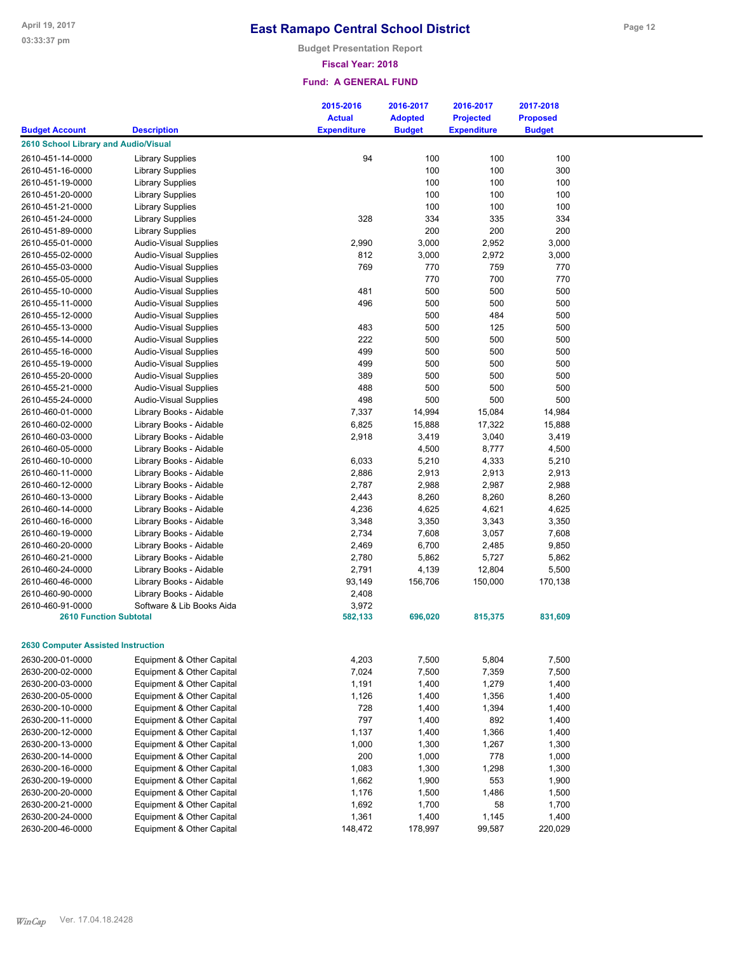**Budget Presentation Report**

### **Fiscal Year: 2018**

|                                           |                                                        | 2015-2016          | 2016-2017      | 2016-2017          | 2017-2018       |
|-------------------------------------------|--------------------------------------------------------|--------------------|----------------|--------------------|-----------------|
|                                           | <b>Description</b>                                     | <b>Actual</b>      | <b>Adopted</b> | <b>Projected</b>   | <b>Proposed</b> |
| <b>Budget Account</b>                     |                                                        | <b>Expenditure</b> | <b>Budget</b>  | <b>Expenditure</b> | <b>Budget</b>   |
| 2610 School Library and Audio/Visual      |                                                        |                    |                |                    |                 |
| 2610-451-14-0000                          | <b>Library Supplies</b>                                | 94                 | 100            | 100                | 100             |
| 2610-451-16-0000                          | <b>Library Supplies</b>                                |                    | 100            | 100                | 300             |
| 2610-451-19-0000                          | <b>Library Supplies</b>                                |                    | 100            | 100                | 100             |
| 2610-451-20-0000                          | <b>Library Supplies</b>                                |                    | 100            | 100                | 100             |
| 2610-451-21-0000                          | <b>Library Supplies</b>                                |                    | 100            | 100                | 100             |
| 2610-451-24-0000                          | <b>Library Supplies</b>                                | 328                | 334            | 335                | 334             |
| 2610-451-89-0000                          | <b>Library Supplies</b>                                |                    | 200            | 200                | 200             |
| 2610-455-01-0000                          | <b>Audio-Visual Supplies</b>                           | 2,990              | 3,000          | 2,952              | 3,000           |
| 2610-455-02-0000                          | Audio-Visual Supplies                                  | 812                | 3,000          | 2,972              | 3,000           |
| 2610-455-03-0000                          | Audio-Visual Supplies                                  | 769                | 770            | 759                | 770             |
| 2610-455-05-0000                          | <b>Audio-Visual Supplies</b>                           |                    | 770            | 700                | 770             |
| 2610-455-10-0000                          | <b>Audio-Visual Supplies</b>                           | 481                | 500            | 500                | 500             |
| 2610-455-11-0000                          | Audio-Visual Supplies                                  | 496                | 500            | 500                | 500             |
| 2610-455-12-0000                          | Audio-Visual Supplies                                  |                    | 500            | 484                | 500             |
| 2610-455-13-0000                          | Audio-Visual Supplies                                  | 483                | 500            | 125                | 500             |
| 2610-455-14-0000                          | <b>Audio-Visual Supplies</b>                           | 222                | 500            | 500                | 500             |
| 2610-455-16-0000                          | <b>Audio-Visual Supplies</b>                           | 499                | 500            | 500                | 500             |
| 2610-455-19-0000                          | <b>Audio-Visual Supplies</b>                           | 499                | 500            | 500                | 500             |
| 2610-455-20-0000                          | Audio-Visual Supplies                                  | 389                | 500            | 500                | 500             |
| 2610-455-21-0000                          | Audio-Visual Supplies                                  | 488                | 500            | 500                | 500             |
| 2610-455-24-0000                          | <b>Audio-Visual Supplies</b>                           | 498                | 500            | 500                | 500             |
| 2610-460-01-0000                          | Library Books - Aidable                                | 7,337              | 14,994         | 15,084             | 14,984          |
| 2610-460-02-0000                          | Library Books - Aidable                                | 6,825              | 15,888         | 17,322             | 15,888          |
| 2610-460-03-0000                          | Library Books - Aidable                                | 2,918              | 3,419          | 3,040              | 3,419           |
| 2610-460-05-0000                          | Library Books - Aidable                                |                    | 4,500          | 8,777              | 4,500           |
| 2610-460-10-0000                          | Library Books - Aidable                                | 6,033              | 5,210          | 4,333              | 5,210           |
| 2610-460-11-0000                          | Library Books - Aidable                                | 2,886              | 2,913          | 2,913              | 2,913           |
| 2610-460-12-0000                          | Library Books - Aidable                                | 2,787              | 2,988          | 2,987              | 2,988           |
| 2610-460-13-0000                          | Library Books - Aidable                                | 2,443              | 8,260          | 8,260              | 8,260           |
| 2610-460-14-0000                          | Library Books - Aidable                                | 4,236              | 4,625          | 4,621              | 4,625           |
| 2610-460-16-0000                          | Library Books - Aidable                                | 3,348              | 3,350          | 3,343              | 3,350           |
| 2610-460-19-0000                          | Library Books - Aidable                                | 2,734              | 7,608          | 3,057              | 7,608           |
| 2610-460-20-0000                          | Library Books - Aidable                                | 2,469              | 6,700          | 2,485              | 9,850           |
| 2610-460-21-0000                          | Library Books - Aidable                                | 2,780              | 5,862          | 5,727              | 5,862           |
| 2610-460-24-0000                          | Library Books - Aidable                                | 2,791              | 4,139          | 12,804             | 5,500           |
| 2610-460-46-0000                          | Library Books - Aidable                                | 93,149             | 156,706        | 150,000            | 170,138         |
| 2610-460-90-0000                          | Library Books - Aidable                                | 2,408              |                |                    |                 |
| 2610-460-91-0000                          | Software & Lib Books Aida                              | 3,972              |                |                    |                 |
| <b>2610 Function Subtotal</b>             |                                                        | 582,133            | 696,020        | 815,375            | 831,609         |
|                                           |                                                        |                    |                |                    |                 |
| <b>2630 Computer Assisted Instruction</b> |                                                        |                    |                |                    |                 |
|                                           |                                                        |                    |                |                    |                 |
| 2630-200-01-0000                          | Equipment & Other Capital                              | 4,203              | 7,500          | 5,804              | 7,500           |
| 2630-200-02-0000                          | Equipment & Other Capital                              | 7,024              | 7,500          | 7,359              | 7,500           |
| 2630-200-03-0000                          | Equipment & Other Capital                              | 1,191              | 1,400          | 1,279              | 1,400           |
| 2630-200-05-0000                          | Equipment & Other Capital                              | 1,126              | 1,400          | 1,356              | 1,400           |
| 2630-200-10-0000<br>2630-200-11-0000      | Equipment & Other Capital                              | 728                | 1,400          | 1,394              | 1,400           |
|                                           | Equipment & Other Capital                              | 797                | 1,400          | 892                | 1,400           |
| 2630-200-12-0000                          | Equipment & Other Capital<br>Equipment & Other Capital | 1,137              | 1,400          | 1,366              | 1,400           |
| 2630-200-13-0000                          |                                                        | 1,000              | 1,300          | 1,267              | 1,300           |
| 2630-200-14-0000                          | Equipment & Other Capital                              | 200                | 1,000          | 778                | 1,000           |
| 2630-200-16-0000                          | Equipment & Other Capital                              | 1,083              | 1,300          | 1,298<br>553       | 1,300           |
| 2630-200-19-0000                          | Equipment & Other Capital<br>Equipment & Other Capital | 1,662<br>1,176     | 1,900          | 1,486              | 1,900<br>1,500  |
| 2630-200-20-0000                          |                                                        | 1,692              | 1,500          | 58                 |                 |
| 2630-200-21-0000<br>2630-200-24-0000      | Equipment & Other Capital<br>Equipment & Other Capital | 1,361              | 1,700<br>1,400 | 1,145              | 1,700<br>1,400  |
| 2630-200-46-0000                          | Equipment & Other Capital                              | 148,472            | 178,997        | 99,587             | 220,029         |
|                                           |                                                        |                    |                |                    |                 |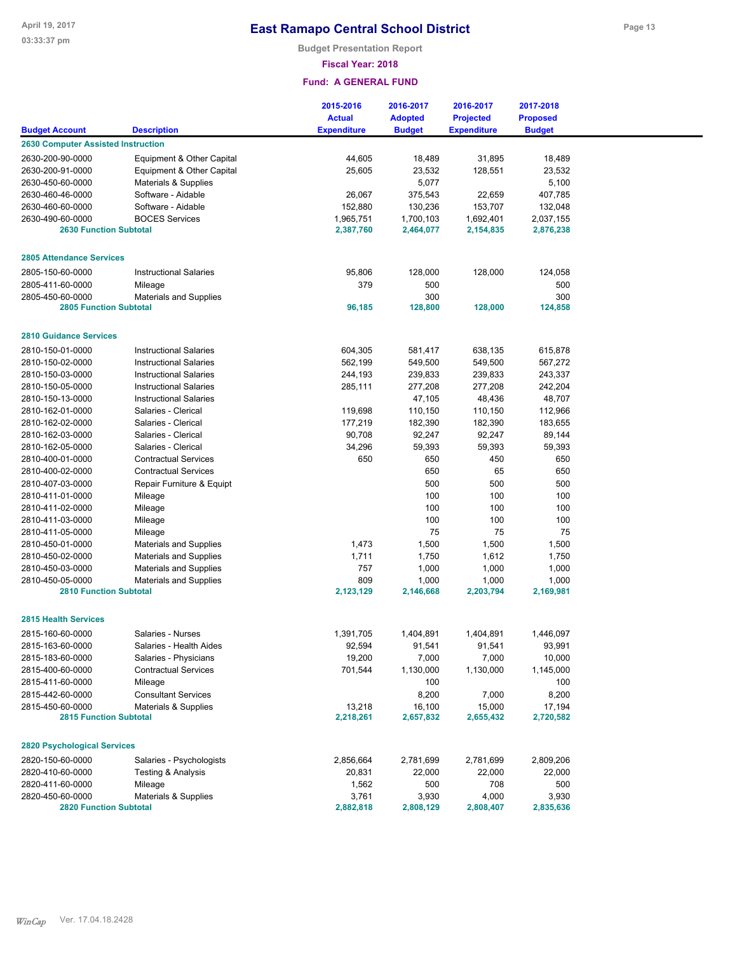### **Fiscal Year: 2018**

|                                           |                               | 2015-2016          | 2016-2017      | 2016-2017          | 2017-2018       |  |
|-------------------------------------------|-------------------------------|--------------------|----------------|--------------------|-----------------|--|
|                                           |                               | <b>Actual</b>      | <b>Adopted</b> | <b>Projected</b>   | <b>Proposed</b> |  |
| <b>Budget Account</b>                     | <b>Description</b>            | <b>Expenditure</b> | <b>Budget</b>  | <b>Expenditure</b> | <b>Budget</b>   |  |
| <b>2630 Computer Assisted Instruction</b> |                               |                    |                |                    |                 |  |
| 2630-200-90-0000                          | Equipment & Other Capital     | 44,605             | 18,489         | 31,895             | 18,489          |  |
| 2630-200-91-0000                          | Equipment & Other Capital     | 25,605             | 23,532         | 128,551            | 23,532          |  |
| 2630-450-60-0000                          | Materials & Supplies          |                    | 5,077          |                    | 5,100           |  |
| 2630-460-46-0000                          | Software - Aidable            | 26,067             | 375,543        | 22,659             | 407,785         |  |
| 2630-460-60-0000                          | Software - Aidable            | 152,880            | 130,236        | 153,707            | 132,048         |  |
| 2630-490-60-0000                          | <b>BOCES Services</b>         | 1,965,751          | 1,700,103      | 1,692,401          | 2,037,155       |  |
| <b>2630 Function Subtotal</b>             |                               | 2,387,760          | 2,464,077      | 2,154,835          | 2,876,238       |  |
| <b>2805 Attendance Services</b>           |                               |                    |                |                    |                 |  |
| 2805-150-60-0000                          | <b>Instructional Salaries</b> | 95,806             | 128,000        | 128,000            | 124,058         |  |
| 2805-411-60-0000                          | Mileage                       | 379                | 500            |                    | 500             |  |
| 2805-450-60-0000                          | <b>Materials and Supplies</b> |                    | 300            |                    | 300             |  |
| <b>2805 Function Subtotal</b>             |                               | 96,185             | 128,800        | 128,000            | 124,858         |  |
|                                           |                               |                    |                |                    |                 |  |
| <b>2810 Guidance Services</b>             |                               |                    |                |                    |                 |  |
| 2810-150-01-0000                          | <b>Instructional Salaries</b> | 604,305            | 581,417        | 638,135            | 615,878         |  |
| 2810-150-02-0000                          | <b>Instructional Salaries</b> | 562,199            | 549,500        | 549,500            | 567,272         |  |
| 2810-150-03-0000                          | <b>Instructional Salaries</b> | 244,193            | 239,833        | 239,833            | 243,337         |  |
| 2810-150-05-0000                          | <b>Instructional Salaries</b> | 285,111            | 277,208        | 277,208            | 242,204         |  |
| 2810-150-13-0000                          | <b>Instructional Salaries</b> |                    | 47,105         | 48,436             | 48,707          |  |
| 2810-162-01-0000                          | Salaries - Clerical           | 119,698            | 110,150        | 110,150            | 112,966         |  |
| 2810-162-02-0000                          | Salaries - Clerical           | 177,219            | 182,390        | 182,390            | 183,655         |  |
| 2810-162-03-0000                          | Salaries - Clerical           | 90,708             | 92,247         | 92,247             | 89,144          |  |
| 2810-162-05-0000                          | Salaries - Clerical           | 34,296             | 59,393         | 59,393             | 59,393          |  |
| 2810-400-01-0000                          | <b>Contractual Services</b>   | 650                | 650            | 450                | 650             |  |
| 2810-400-02-0000                          | <b>Contractual Services</b>   |                    | 650            | 65                 | 650             |  |
| 2810-407-03-0000                          | Repair Furniture & Equipt     |                    | 500            | 500                | 500             |  |
| 2810-411-01-0000                          | Mileage                       |                    | 100            | 100                | 100             |  |
| 2810-411-02-0000                          | Mileage                       |                    | 100            | 100                | 100             |  |
| 2810-411-03-0000                          | Mileage                       |                    | 100            | 100                | 100             |  |
| 2810-411-05-0000                          | Mileage                       |                    | 75             | 75                 | 75              |  |
| 2810-450-01-0000                          | <b>Materials and Supplies</b> | 1,473              | 1,500          | 1,500              | 1,500           |  |
| 2810-450-02-0000                          | <b>Materials and Supplies</b> | 1,711              | 1,750          | 1,612              | 1,750           |  |
| 2810-450-03-0000                          | <b>Materials and Supplies</b> | 757                | 1,000          | 1,000              | 1,000           |  |
| 2810-450-05-0000                          | <b>Materials and Supplies</b> | 809                | 1,000          | 1,000              | 1,000           |  |
| <b>2810 Function Subtotal</b>             |                               | 2,123,129          | 2,146,668      | 2,203,794          | 2,169,981       |  |
| <b>2815 Health Services</b>               |                               |                    |                |                    |                 |  |
| 2815-160-60-0000                          | Salaries - Nurses             | 1,391,705          | 1.404.891      | 1,404,891          | 1,446,097       |  |
| 2815-163-60-0000                          | Salaries - Health Aides       | 92,594             | 91,541         | 91,541             | 93,991          |  |
| 2815-183-60-0000                          | Salaries - Physicians         | 19,200             | 7,000          | 7,000              | 10,000          |  |
| 2815-400-60-0000                          | <b>Contractual Services</b>   | 701,544            | 1,130,000      | 1,130,000          | 1,145,000       |  |
| 2815-411-60-0000                          | Mileage                       |                    | 100            |                    | 100             |  |
| 2815-442-60-0000                          | <b>Consultant Services</b>    |                    | 8,200          | 7,000              | 8,200           |  |
| 2815-450-60-0000                          | Materials & Supplies          | 13,218             | 16,100         | 15,000             | 17,194          |  |
| <b>2815 Function Subtotal</b>             |                               | 2,218,261          | 2,657,832      | 2,655,432          | 2,720,582       |  |
| <b>2820 Psychological Services</b>        |                               |                    |                |                    |                 |  |
| 2820-150-60-0000                          | Salaries - Psychologists      | 2,856,664          | 2,781,699      | 2,781,699          | 2,809,206       |  |
| 2820-410-60-0000                          | Testing & Analysis            | 20,831             | 22,000         | 22,000             | 22,000          |  |
| 2820-411-60-0000                          | Mileage                       | 1,562              | 500            | 708                | 500             |  |
| 2820-450-60-0000                          | Materials & Supplies          | 3,761              | 3,930          | 4,000              | 3,930           |  |
| <b>2820 Function Subtotal</b>             |                               | 2,882,818          | 2,808,129      | 2,808,407          | 2,835,636       |  |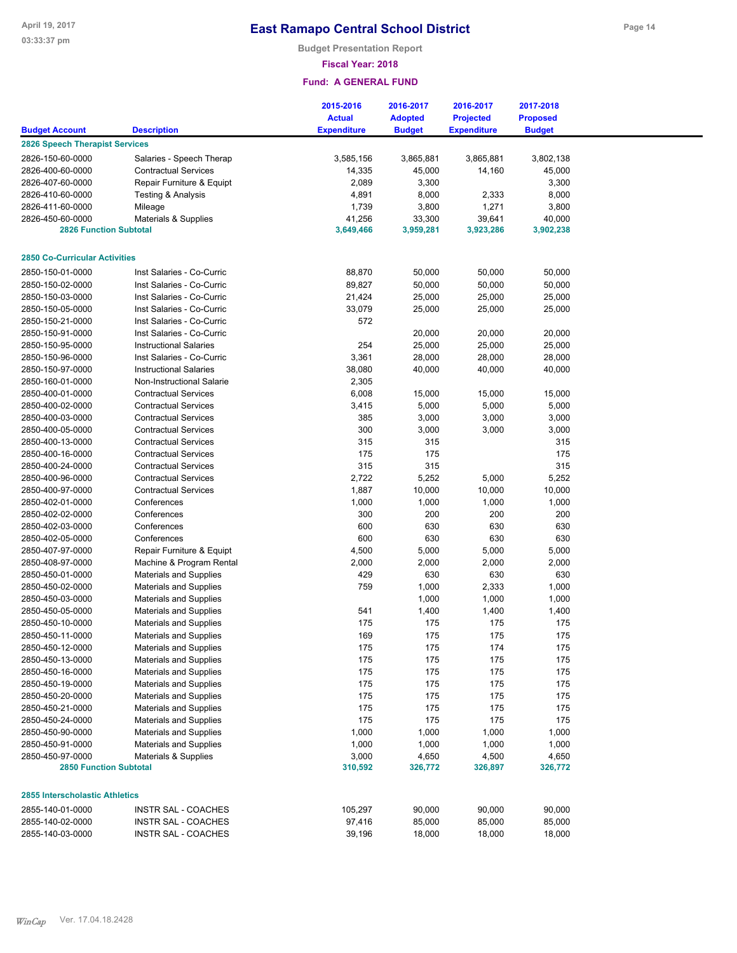**Budget Presentation Report**

## **Fiscal Year: 2018**

|                                       |                                                         | 2015-2016<br><b>Actual</b> | 2016-2017<br><b>Adopted</b> | 2016-2017<br><b>Projected</b> | 2017-2018<br><b>Proposed</b> |  |
|---------------------------------------|---------------------------------------------------------|----------------------------|-----------------------------|-------------------------------|------------------------------|--|
| <b>Budget Account</b>                 | <b>Description</b>                                      | <b>Expenditure</b>         | <b>Budget</b>               | <b>Expenditure</b>            | <b>Budget</b>                |  |
| <b>2826 Speech Therapist Services</b> |                                                         |                            |                             |                               |                              |  |
| 2826-150-60-0000                      | Salaries - Speech Therap                                | 3,585,156                  | 3,865,881                   | 3,865,881                     | 3,802,138                    |  |
| 2826-400-60-0000                      | <b>Contractual Services</b>                             | 14,335                     | 45,000                      | 14,160                        | 45,000                       |  |
| 2826-407-60-0000                      | Repair Furniture & Equipt                               | 2,089                      | 3,300                       |                               | 3,300                        |  |
| 2826-410-60-0000                      | Testing & Analysis                                      | 4,891                      | 8,000                       | 2,333                         | 8,000                        |  |
| 2826-411-60-0000                      | Mileage                                                 | 1,739                      | 3,800                       | 1,271                         | 3,800                        |  |
| 2826-450-60-0000                      | Materials & Supplies                                    | 41,256                     | 33,300                      | 39,641                        | 40,000                       |  |
| <b>2826 Function Subtotal</b>         |                                                         | 3,649,466                  | 3,959,281                   | 3,923,286                     | 3,902,238                    |  |
|                                       |                                                         |                            |                             |                               |                              |  |
| <b>2850 Co-Curricular Activities</b>  |                                                         |                            |                             |                               |                              |  |
| 2850-150-01-0000                      | Inst Salaries - Co-Curric                               | 88,870                     | 50,000                      | 50,000                        | 50,000                       |  |
| 2850-150-02-0000                      | Inst Salaries - Co-Curric                               | 89,827                     | 50,000                      | 50,000                        | 50,000                       |  |
| 2850-150-03-0000                      | Inst Salaries - Co-Curric                               | 21,424                     | 25,000                      | 25,000                        | 25,000                       |  |
| 2850-150-05-0000                      | Inst Salaries - Co-Curric                               | 33,079                     | 25,000                      | 25,000                        | 25,000                       |  |
| 2850-150-21-0000                      | Inst Salaries - Co-Curric                               | 572                        |                             |                               |                              |  |
| 2850-150-91-0000                      | Inst Salaries - Co-Curric                               |                            | 20,000                      | 20,000                        | 20,000                       |  |
| 2850-150-95-0000                      | <b>Instructional Salaries</b>                           | 254                        | 25,000                      | 25,000                        | 25,000                       |  |
|                                       | Inst Salaries - Co-Curric                               | 3,361                      |                             | 28,000                        |                              |  |
| 2850-150-96-0000<br>2850-150-97-0000  | <b>Instructional Salaries</b>                           | 38,080                     | 28,000<br>40,000            | 40,000                        | 28,000                       |  |
|                                       |                                                         |                            |                             |                               | 40,000                       |  |
| 2850-160-01-0000                      | Non-Instructional Salarie                               | 2,305                      |                             |                               |                              |  |
| 2850-400-01-0000                      | <b>Contractual Services</b>                             | 6,008                      | 15,000                      | 15,000                        | 15,000                       |  |
| 2850-400-02-0000                      | <b>Contractual Services</b>                             | 3,415                      | 5,000                       | 5,000                         | 5,000                        |  |
| 2850-400-03-0000                      | <b>Contractual Services</b>                             | 385                        | 3,000                       | 3,000                         | 3,000                        |  |
| 2850-400-05-0000                      | <b>Contractual Services</b>                             | 300                        | 3,000                       | 3,000                         | 3,000                        |  |
| 2850-400-13-0000                      | <b>Contractual Services</b>                             | 315                        | 315                         |                               | 315                          |  |
| 2850-400-16-0000                      | <b>Contractual Services</b>                             | 175                        | 175                         |                               | 175                          |  |
| 2850-400-24-0000                      | <b>Contractual Services</b>                             | 315                        | 315                         |                               | 315                          |  |
| 2850-400-96-0000                      | <b>Contractual Services</b>                             | 2,722                      | 5,252                       | 5,000                         | 5,252                        |  |
| 2850-400-97-0000                      | <b>Contractual Services</b>                             | 1,887                      | 10,000                      | 10,000                        | 10,000                       |  |
| 2850-402-01-0000                      | Conferences                                             | 1,000                      | 1,000                       | 1,000                         | 1,000                        |  |
| 2850-402-02-0000                      | Conferences                                             | 300                        | 200                         | 200                           | 200                          |  |
| 2850-402-03-0000                      | Conferences                                             | 600                        | 630                         | 630                           | 630                          |  |
| 2850-402-05-0000                      | Conferences                                             | 600                        | 630                         | 630                           | 630                          |  |
| 2850-407-97-0000                      | Repair Furniture & Equipt                               | 4,500                      | 5,000                       | 5,000                         | 5,000                        |  |
| 2850-408-97-0000                      | Machine & Program Rental                                | 2,000                      | 2,000                       | 2,000                         | 2,000                        |  |
| 2850-450-01-0000                      | <b>Materials and Supplies</b>                           | 429                        | 630                         | 630                           | 630                          |  |
| 2850-450-02-0000                      | <b>Materials and Supplies</b>                           | 759                        | 1,000                       | 2,333                         | 1,000                        |  |
| 2850-450-03-0000                      | <b>Materials and Supplies</b>                           |                            | 1,000                       | 1,000                         | 1,000                        |  |
| 2850-450-05-0000                      | <b>Materials and Supplies</b>                           | 541                        | 1,400                       | 1,400                         | 1,400                        |  |
| 2850-450-10-0000                      | <b>Materials and Supplies</b>                           | 175                        | 175                         | 175                           | 175                          |  |
| 2850-450-11-0000                      | <b>Materials and Supplies</b>                           | 169                        | 175                         | 175                           | 175                          |  |
| 2850-450-12-0000                      |                                                         | 175                        | 175                         | 174                           | 175                          |  |
|                                       | <b>Materials and Supplies</b><br>Materials and Supplies |                            |                             |                               |                              |  |
| 2850-450-13-0000                      |                                                         | 175                        | 175                         | 175                           | 175                          |  |
| 2850-450-16-0000                      | Materials and Supplies                                  | 175                        | 175                         | 175                           | 175                          |  |
| 2850-450-19-0000                      | <b>Materials and Supplies</b>                           | 175                        | 175                         | 175                           | 175                          |  |
| 2850-450-20-0000                      | Materials and Supplies                                  | 175                        | 175                         | 175                           | 175                          |  |
| 2850-450-21-0000                      | Materials and Supplies                                  | 175                        | 175                         | 175                           | 175                          |  |
| 2850-450-24-0000                      | Materials and Supplies                                  | 175                        | 175                         | 175                           | 175                          |  |
| 2850-450-90-0000                      | Materials and Supplies                                  | 1,000                      | 1,000                       | 1,000                         | 1,000                        |  |
| 2850-450-91-0000                      | Materials and Supplies                                  | 1,000                      | 1,000                       | 1,000                         | 1,000                        |  |
| 2850-450-97-0000                      | Materials & Supplies                                    | 3,000                      | 4,650                       | 4,500                         | 4,650                        |  |
| <b>2850 Function Subtotal</b>         |                                                         | 310,592                    | 326,772                     | 326,897                       | 326,772                      |  |
| <b>2855 Interscholastic Athletics</b> |                                                         |                            |                             |                               |                              |  |
|                                       |                                                         |                            |                             |                               |                              |  |
| 2855-140-01-0000                      | INSTR SAL - COACHES                                     | 105,297                    | 90,000                      | 90,000                        | 90,000                       |  |
| 2855-140-02-0000                      | <b>INSTR SAL - COACHES</b>                              | 97,416                     | 85,000                      | 85,000                        | 85,000                       |  |
| 2855-140-03-0000                      | <b>INSTR SAL - COACHES</b>                              | 39,196                     | 18,000                      | 18,000                        | 18,000                       |  |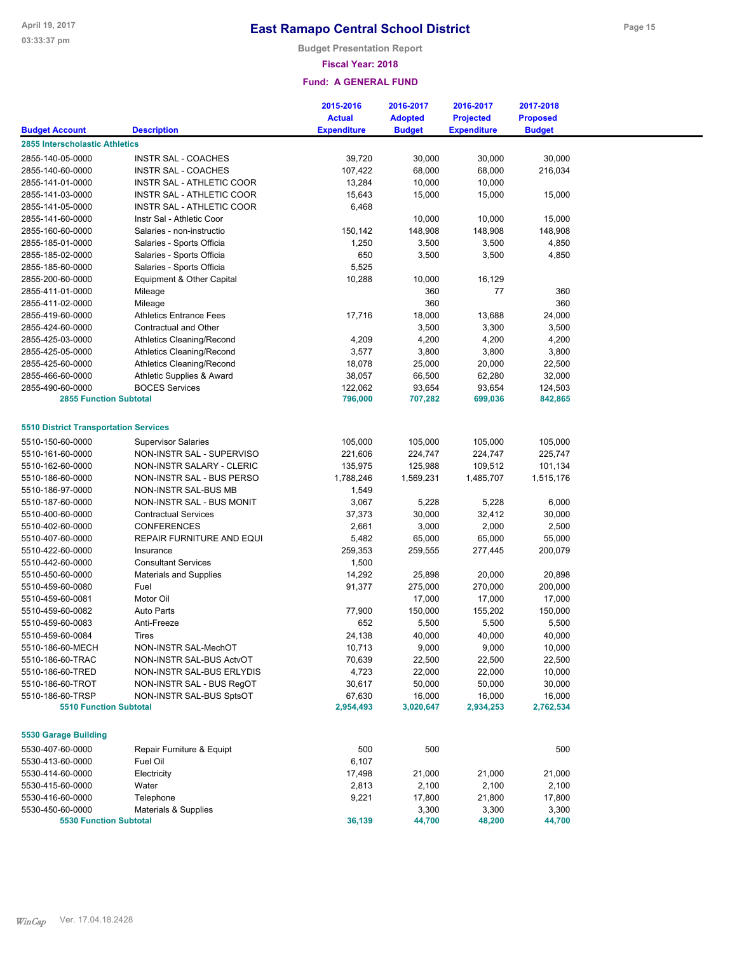**Budget Presentation Report**

### **Fiscal Year: 2018**

|                                              |                                  | 2015-2016          | 2016-2017      | 2016-2017          | 2017-2018       |  |
|----------------------------------------------|----------------------------------|--------------------|----------------|--------------------|-----------------|--|
|                                              |                                  | <b>Actual</b>      | <b>Adopted</b> | <b>Projected</b>   | <b>Proposed</b> |  |
| <b>Budget Account</b>                        | <b>Description</b>               | <b>Expenditure</b> | <b>Budget</b>  | <b>Expenditure</b> | <b>Budget</b>   |  |
| 2855 Interscholastic Athletics               |                                  |                    |                |                    |                 |  |
| 2855-140-05-0000                             | <b>INSTR SAL - COACHES</b>       | 39,720             | 30,000         | 30,000             | 30,000          |  |
| 2855-140-60-0000                             | <b>INSTR SAL - COACHES</b>       | 107,422            | 68,000         | 68,000             | 216,034         |  |
| 2855-141-01-0000                             | <b>INSTR SAL - ATHLETIC COOR</b> | 13,284             | 10,000         | 10,000             |                 |  |
| 2855-141-03-0000                             | INSTR SAL - ATHLETIC COOR        | 15,643             | 15,000         | 15,000             | 15,000          |  |
| 2855-141-05-0000                             | INSTR SAL - ATHLETIC COOR        | 6,468              |                |                    |                 |  |
| 2855-141-60-0000                             | Instr Sal - Athletic Coor        |                    | 10,000         | 10,000             | 15,000          |  |
| 2855-160-60-0000                             | Salaries - non-instructio        | 150,142            | 148,908        | 148,908            | 148,908         |  |
| 2855-185-01-0000                             | Salaries - Sports Officia        | 1,250              | 3,500          | 3,500              | 4,850           |  |
| 2855-185-02-0000                             | Salaries - Sports Officia        | 650                | 3,500          | 3,500              | 4,850           |  |
| 2855-185-60-0000                             | Salaries - Sports Officia        | 5,525              |                |                    |                 |  |
| 2855-200-60-0000                             | Equipment & Other Capital        | 10,288             | 10,000         | 16,129             |                 |  |
| 2855-411-01-0000                             | Mileage                          |                    | 360            | 77                 | 360             |  |
| 2855-411-02-0000                             | Mileage                          |                    | 360            |                    | 360             |  |
| 2855-419-60-0000                             | <b>Athletics Entrance Fees</b>   | 17,716             | 18,000         | 13,688             | 24,000          |  |
| 2855-424-60-0000                             | Contractual and Other            |                    | 3,500          | 3,300              | 3,500           |  |
| 2855-425-03-0000                             | <b>Athletics Cleaning/Recond</b> | 4,209              | 4,200          | 4,200              | 4,200           |  |
| 2855-425-05-0000                             | <b>Athletics Cleaning/Recond</b> | 3,577              | 3,800          | 3,800              | 3,800           |  |
| 2855-425-60-0000                             | <b>Athletics Cleaning/Recond</b> | 18,078             | 25,000         | 20,000             | 22,500          |  |
| 2855-466-60-0000                             | Athletic Supplies & Award        | 38,057             | 66,500         | 62,280             | 32,000          |  |
| 2855-490-60-0000                             | <b>BOCES Services</b>            | 122,062            | 93,654         | 93,654             | 124,503         |  |
| <b>2855 Function Subtotal</b>                |                                  | 796,000            | 707,282        | 699,036            | 842,865         |  |
| <b>5510 District Transportation Services</b> |                                  |                    |                |                    |                 |  |
| 5510-150-60-0000                             | <b>Supervisor Salaries</b>       | 105,000            | 105,000        | 105,000            | 105,000         |  |
| 5510-161-60-0000                             | NON-INSTR SAL - SUPERVISO        | 221,606            | 224,747        | 224,747            | 225,747         |  |
| 5510-162-60-0000                             | NON-INSTR SALARY - CLERIC        | 135,975            | 125,988        | 109,512            | 101,134         |  |
| 5510-186-60-0000                             | NON-INSTR SAL - BUS PERSO        | 1,788,246          | 1,569,231      | 1,485,707          | 1,515,176       |  |
| 5510-186-97-0000                             | NON-INSTR SAL-BUS MB             | 1,549              |                |                    |                 |  |
| 5510-187-60-0000                             | NON-INSTR SAL - BUS MONIT        | 3,067              | 5,228          | 5,228              | 6,000           |  |
| 5510-400-60-0000                             | <b>Contractual Services</b>      | 37,373             | 30,000         | 32,412             | 30,000          |  |
| 5510-402-60-0000                             | <b>CONFERENCES</b>               | 2,661              | 3,000          | 2,000              | 2,500           |  |
| 5510-407-60-0000                             | REPAIR FURNITURE AND EQUI        | 5,482              | 65,000         | 65,000             | 55,000          |  |
| 5510-422-60-0000                             | Insurance                        | 259,353            | 259,555        | 277,445            | 200,079         |  |
| 5510-442-60-0000                             | <b>Consultant Services</b>       | 1,500              |                |                    |                 |  |
| 5510-450-60-0000                             | <b>Materials and Supplies</b>    | 14,292             | 25,898         | 20,000             | 20,898          |  |
| 5510-459-60-0080                             | Fuel                             | 91,377             | 275,000        | 270,000            | 200,000         |  |
| 5510-459-60-0081                             | Motor Oil                        |                    | 17,000         | 17,000             | 17,000          |  |
| 5510-459-60-0082                             | <b>Auto Parts</b>                | 77,900             | 150,000        | 155,202            | 150,000         |  |
| 5510-459-60-0083                             | Anti-Freeze                      | 652                | 5,500          | 5,500              | 5,500           |  |
| 5510-459-60-0084                             | Tires                            | 24,138             | 40,000         | 40,000             | 40,000          |  |
| 5510-186-60-MECH                             | NON-INSTR SAL-MechOT             | 10,713             | 9,000          | 9,000              | 10,000          |  |
| 5510-186-60-TRAC                             | NON-INSTR SAL-BUS ActvOT         | 70,639             | 22,500         | 22,500             | 22,500          |  |
| 5510-186-60-TRED                             | NON-INSTR SAL-BUS ERLYDIS        | 4,723              | 22,000         | 22,000             | 10,000          |  |
| 5510-186-60-TROT                             | NON-INSTR SAL - BUS RegOT        | 30,617             | 50,000         | 50,000             | 30,000          |  |
| 5510-186-60-TRSP                             | NON-INSTR SAL-BUS SptsOT         | 67,630             | 16,000         | 16,000             | 16,000          |  |
| <b>5510 Function Subtotal</b>                |                                  | 2,954,493          | 3,020,647      | 2,934,253          | 2,762,534       |  |
| <b>5530 Garage Building</b>                  |                                  |                    |                |                    |                 |  |
| 5530-407-60-0000                             | Repair Furniture & Equipt        | 500                | 500            |                    | 500             |  |
| 5530-413-60-0000                             | Fuel Oil                         | 6,107              |                |                    |                 |  |
| 5530-414-60-0000                             | Electricity                      | 17,498             | 21,000         | 21,000             | 21,000          |  |
| 5530-415-60-0000                             | Water                            | 2,813              | 2,100          | 2,100              | 2,100           |  |
| 5530-416-60-0000                             | Telephone                        | 9,221              | 17,800         | 21,800             | 17,800          |  |
| 5530-450-60-0000                             | Materials & Supplies             |                    | 3,300          | 3,300              | 3,300           |  |
| <b>5530 Function Subtotal</b>                |                                  | 36,139             | 44,700         | 48,200             | 44,700          |  |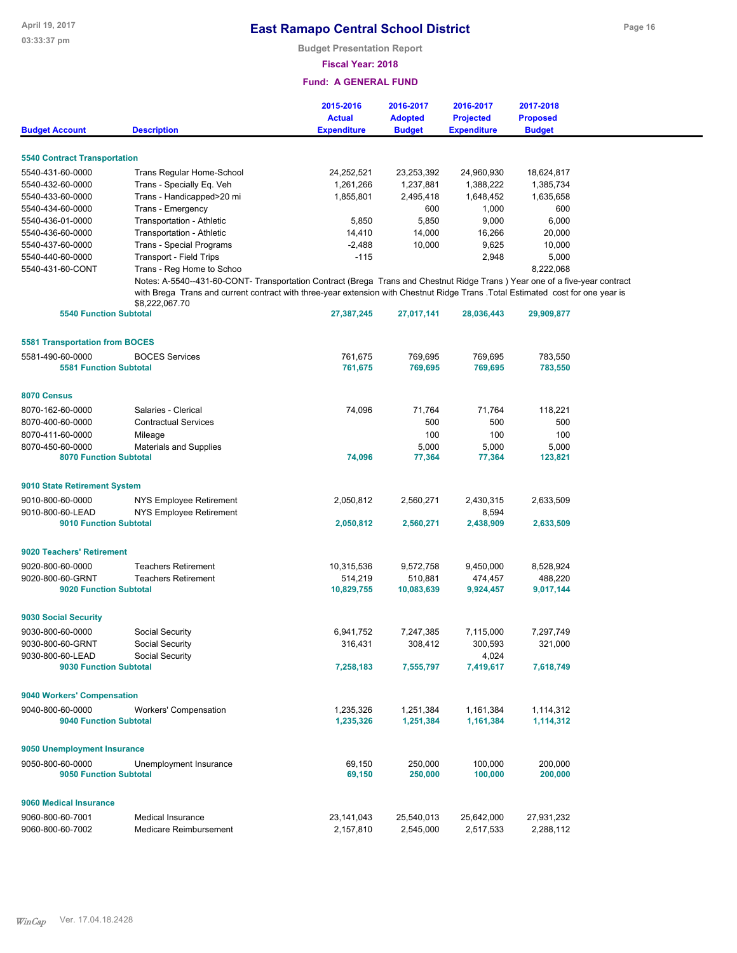**Budget Presentation Report**

### **Fiscal Year: 2018**

|                                       |                                                                                                                                                                                                                                                                                  | 2015-2016<br><b>Actual</b> | 2016-2017<br><b>Adopted</b> | 2016-2017<br><b>Projected</b> | 2017-2018<br><b>Proposed</b> |  |  |  |  |
|---------------------------------------|----------------------------------------------------------------------------------------------------------------------------------------------------------------------------------------------------------------------------------------------------------------------------------|----------------------------|-----------------------------|-------------------------------|------------------------------|--|--|--|--|
| <b>Budget Account</b>                 | <b>Description</b>                                                                                                                                                                                                                                                               | <b>Expenditure</b>         | <b>Budget</b>               | <b>Expenditure</b>            | <b>Budget</b>                |  |  |  |  |
| <b>5540 Contract Transportation</b>   |                                                                                                                                                                                                                                                                                  |                            |                             |                               |                              |  |  |  |  |
| 5540-431-60-0000                      | Trans Regular Home-School                                                                                                                                                                                                                                                        | 24,252,521                 | 23,253,392                  | 24,960,930                    | 18,624,817                   |  |  |  |  |
| 5540-432-60-0000                      | Trans - Specially Eq. Veh                                                                                                                                                                                                                                                        | 1,261,266                  | 1,237,881                   | 1,388,222                     | 1,385,734                    |  |  |  |  |
| 5540-433-60-0000                      | Trans - Handicapped>20 mi                                                                                                                                                                                                                                                        | 1,855,801                  | 2,495,418                   | 1,648,452                     | 1,635,658                    |  |  |  |  |
| 5540-434-60-0000                      | Trans - Emergency                                                                                                                                                                                                                                                                |                            | 600                         | 1,000                         | 600                          |  |  |  |  |
| 5540-436-01-0000                      | Transportation - Athletic                                                                                                                                                                                                                                                        | 5,850                      | 5,850                       | 9,000                         | 6,000                        |  |  |  |  |
| 5540-436-60-0000                      | Transportation - Athletic                                                                                                                                                                                                                                                        | 14,410                     | 14,000                      | 16,266                        | 20,000                       |  |  |  |  |
| 5540-437-60-0000                      | Trans - Special Programs                                                                                                                                                                                                                                                         | $-2,488$                   | 10,000                      | 9,625                         | 10,000                       |  |  |  |  |
| 5540-440-60-0000                      | <b>Transport - Field Trips</b>                                                                                                                                                                                                                                                   | $-115$                     |                             | 2,948                         | 5,000                        |  |  |  |  |
| 5540-431-60-CONT                      | Trans - Reg Home to Schoo                                                                                                                                                                                                                                                        |                            |                             |                               | 8,222,068                    |  |  |  |  |
|                                       | Notes: A-5540--431-60-CONT- Transportation Contract (Brega Trans and Chestnut Ridge Trans) Year one of a five-year contract<br>with Brega Trans and current contract with three-year extension with Chestnut Ridge Trans .Total Estimated cost for one year is<br>\$8,222,067.70 |                            |                             |                               |                              |  |  |  |  |
| <b>5540 Function Subtotal</b>         |                                                                                                                                                                                                                                                                                  | 27,387,245                 | 27,017,141                  | 28,036,443                    | 29,909,877                   |  |  |  |  |
| <b>5581 Transportation from BOCES</b> |                                                                                                                                                                                                                                                                                  |                            |                             |                               |                              |  |  |  |  |
| 5581-490-60-0000                      | <b>BOCES Services</b>                                                                                                                                                                                                                                                            | 761,675                    | 769,695                     | 769,695                       | 783,550                      |  |  |  |  |
| <b>5581 Function Subtotal</b>         |                                                                                                                                                                                                                                                                                  | 761,675                    | 769,695                     | 769,695                       | 783,550                      |  |  |  |  |
|                                       |                                                                                                                                                                                                                                                                                  |                            |                             |                               |                              |  |  |  |  |
| 8070 Census                           |                                                                                                                                                                                                                                                                                  |                            |                             |                               |                              |  |  |  |  |
| 8070-162-60-0000                      | Salaries - Clerical                                                                                                                                                                                                                                                              | 74,096                     | 71,764                      | 71,764                        | 118,221                      |  |  |  |  |
| 8070-400-60-0000                      | <b>Contractual Services</b>                                                                                                                                                                                                                                                      |                            | 500                         | 500                           | 500                          |  |  |  |  |
| 8070-411-60-0000                      | Mileage                                                                                                                                                                                                                                                                          |                            | 100                         | 100                           | 100                          |  |  |  |  |
| 8070-450-60-0000                      | Materials and Supplies                                                                                                                                                                                                                                                           |                            | 5,000                       | 5,000                         | 5,000                        |  |  |  |  |
| <b>8070 Function Subtotal</b>         |                                                                                                                                                                                                                                                                                  | 74,096                     | 77,364                      | 77,364                        | 123,821                      |  |  |  |  |
| 9010 State Retirement System          |                                                                                                                                                                                                                                                                                  |                            |                             |                               |                              |  |  |  |  |
| 9010-800-60-0000                      | NYS Employee Retirement                                                                                                                                                                                                                                                          | 2,050,812                  | 2,560,271                   | 2,430,315                     | 2,633,509                    |  |  |  |  |
| 9010-800-60-LEAD                      | NYS Employee Retirement                                                                                                                                                                                                                                                          |                            |                             | 8,594                         |                              |  |  |  |  |
| <b>9010 Function Subtotal</b>         |                                                                                                                                                                                                                                                                                  | 2,050,812                  | 2,560,271                   | 2,438,909                     | 2,633,509                    |  |  |  |  |
| 9020 Teachers' Retirement             |                                                                                                                                                                                                                                                                                  |                            |                             |                               |                              |  |  |  |  |
| 9020-800-60-0000                      | <b>Teachers Retirement</b>                                                                                                                                                                                                                                                       | 10,315,536                 | 9,572,758                   | 9,450,000                     | 8,528,924                    |  |  |  |  |
| 9020-800-60-GRNT                      | <b>Teachers Retirement</b>                                                                                                                                                                                                                                                       | 514,219                    | 510,881                     | 474,457                       | 488,220                      |  |  |  |  |
| 9020 Function Subtotal                |                                                                                                                                                                                                                                                                                  | 10,829,755                 | 10,083,639                  | 9,924,457                     | 9,017,144                    |  |  |  |  |
|                                       |                                                                                                                                                                                                                                                                                  |                            |                             |                               |                              |  |  |  |  |
| 9030 Social Security                  |                                                                                                                                                                                                                                                                                  |                            |                             |                               |                              |  |  |  |  |
| 9030-800-60-0000                      | Social Security                                                                                                                                                                                                                                                                  | 6,941,752                  | 7,247,385                   | 7,115,000                     | 7,297,749                    |  |  |  |  |
| 9030-800-60-GRNT                      | Social Security                                                                                                                                                                                                                                                                  | 316,431                    | 308,412                     | 300,593                       | 321,000                      |  |  |  |  |
| 9030-800-60-LEAD                      | Social Security                                                                                                                                                                                                                                                                  |                            |                             | 4,024                         |                              |  |  |  |  |
| 9030 Function Subtotal                |                                                                                                                                                                                                                                                                                  | 7,258,183                  | 7,555,797                   | 7,419,617                     | 7,618,749                    |  |  |  |  |
| 9040 Workers' Compensation            |                                                                                                                                                                                                                                                                                  |                            |                             |                               |                              |  |  |  |  |
| 9040-800-60-0000                      | <b>Workers' Compensation</b>                                                                                                                                                                                                                                                     | 1,235,326                  | 1,251,384                   | 1,161,384                     | 1,114,312                    |  |  |  |  |
| <b>9040 Function Subtotal</b>         |                                                                                                                                                                                                                                                                                  | 1,235,326                  | 1,251,384                   | 1,161,384                     | 1,114,312                    |  |  |  |  |
| 9050 Unemployment Insurance           |                                                                                                                                                                                                                                                                                  |                            |                             |                               |                              |  |  |  |  |
| 9050-800-60-0000                      | Unemployment Insurance                                                                                                                                                                                                                                                           | 69,150                     | 250,000                     | 100,000                       | 200,000                      |  |  |  |  |
| <b>9050 Function Subtotal</b>         |                                                                                                                                                                                                                                                                                  | 69,150                     | 250,000                     | 100,000                       | 200,000                      |  |  |  |  |
| 9060 Medical Insurance                |                                                                                                                                                                                                                                                                                  |                            |                             |                               |                              |  |  |  |  |
| 9060-800-60-7001                      | <b>Medical Insurance</b>                                                                                                                                                                                                                                                         | 23,141,043                 | 25,540,013                  | 25,642,000                    | 27,931,232                   |  |  |  |  |
| 9060-800-60-7002                      | Medicare Reimbursement                                                                                                                                                                                                                                                           | 2,157,810                  | 2,545,000                   | 2,517,533                     | 2,288,112                    |  |  |  |  |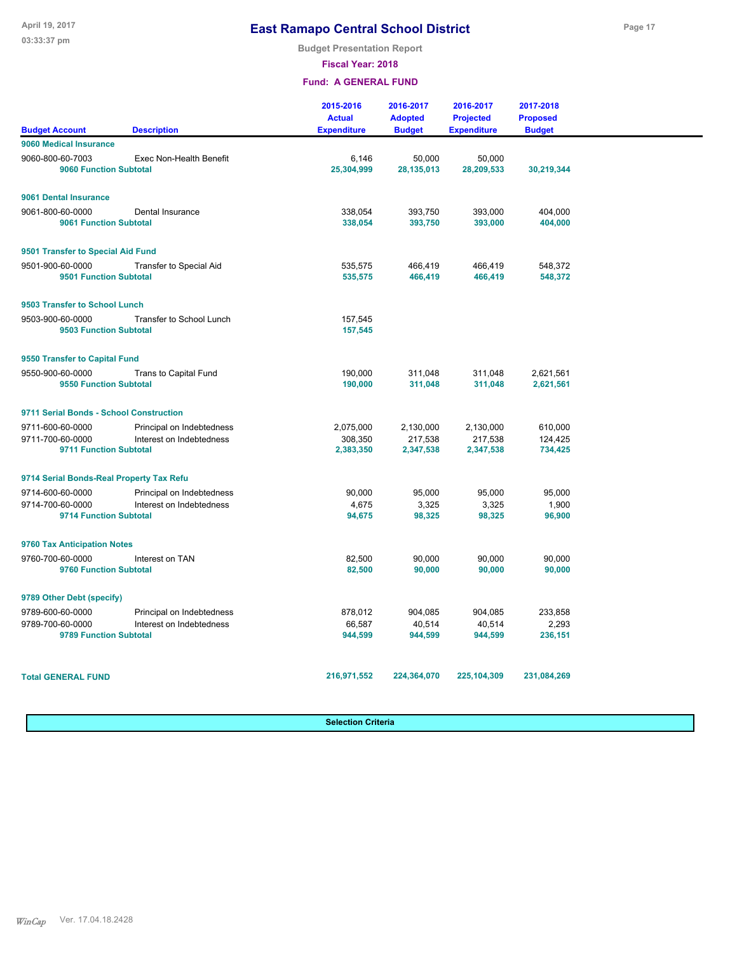**Budget Presentation Report**

**Fiscal Year: 2018**

### **Fund: A GENERAL FUND**

|                                                   |                                | 2015-2016<br><b>Actual</b> | 2016-2017<br><b>Adopted</b> | 2016-2017<br><b>Projected</b> | 2017-2018<br><b>Proposed</b> |  |
|---------------------------------------------------|--------------------------------|----------------------------|-----------------------------|-------------------------------|------------------------------|--|
| <b>Budget Account</b>                             | <b>Description</b>             | <b>Expenditure</b>         | <b>Budget</b>               | <b>Expenditure</b>            | <b>Budget</b>                |  |
| 9060 Medical Insurance                            |                                |                            |                             |                               |                              |  |
| 9060-800-60-7003<br><b>9060 Function Subtotal</b> | Exec Non-Health Benefit        | 6,146<br>25,304,999        | 50,000<br>28, 135, 013      | 50,000<br>28,209,533          | 30,219,344                   |  |
| 9061 Dental Insurance                             |                                |                            |                             |                               |                              |  |
| 9061-800-60-0000<br>9061 Function Subtotal        | Dental Insurance               | 338,054<br>338,054         | 393,750<br>393,750          | 393,000<br>393,000            | 404,000<br>404,000           |  |
| 9501 Transfer to Special Aid Fund                 |                                |                            |                             |                               |                              |  |
| 9501-900-60-0000<br><b>9501 Function Subtotal</b> | <b>Transfer to Special Aid</b> | 535.575<br>535,575         | 466,419<br>466,419          | 466,419<br>466,419            | 548.372<br>548,372           |  |
| 9503 Transfer to School Lunch                     |                                |                            |                             |                               |                              |  |
| 9503-900-60-0000<br>9503 Function Subtotal        | Transfer to School Lunch       | 157,545<br>157,545         |                             |                               |                              |  |
| 9550 Transfer to Capital Fund                     |                                |                            |                             |                               |                              |  |
| 9550-900-60-0000<br>9550 Function Subtotal        | Trans to Capital Fund          | 190,000<br>190,000         | 311,048<br>311,048          | 311,048<br>311,048            | 2,621,561<br>2,621,561       |  |
| 9711 Serial Bonds - School Construction           |                                |                            |                             |                               |                              |  |
| 9711-600-60-0000                                  | Principal on Indebtedness      | 2,075,000                  | 2,130,000                   | 2,130,000                     | 610,000                      |  |
| 9711-700-60-0000<br>9711 Function Subtotal        | Interest on Indebtedness       | 308,350<br>2,383,350       | 217,538<br>2,347,538        | 217,538<br>2,347,538          | 124,425<br>734,425           |  |
| 9714 Serial Bonds-Real Property Tax Refu          |                                |                            |                             |                               |                              |  |
| 9714-600-60-0000                                  | Principal on Indebtedness      | 90,000                     | 95,000                      | 95,000                        | 95,000                       |  |
| 9714-700-60-0000<br><b>9714 Function Subtotal</b> | Interest on Indebtedness       | 4,675<br>94,675            | 3,325<br>98,325             | 3,325<br>98,325               | 1,900<br>96,900              |  |
| 9760 Tax Anticipation Notes                       |                                |                            |                             |                               |                              |  |
| 9760-700-60-0000<br>9760 Function Subtotal        | Interest on TAN                | 82,500<br>82,500           | 90,000<br>90,000            | 90,000<br>90,000              | 90,000<br>90,000             |  |
| 9789 Other Debt (specify)                         |                                |                            |                             |                               |                              |  |
| 9789-600-60-0000                                  | Principal on Indebtedness      | 878,012                    | 904,085                     | 904,085                       | 233,858                      |  |
| 9789-700-60-0000<br>9789 Function Subtotal        | Interest on Indebtedness       | 66,587<br>944,599          | 40,514<br>944,599           | 40,514<br>944,599             | 2,293<br>236,151             |  |
| <b>Total GENERAL FUND</b>                         |                                | 216,971,552                | 224,364,070                 | 225,104,309                   | 231,084,269                  |  |

**Selection Criteria**